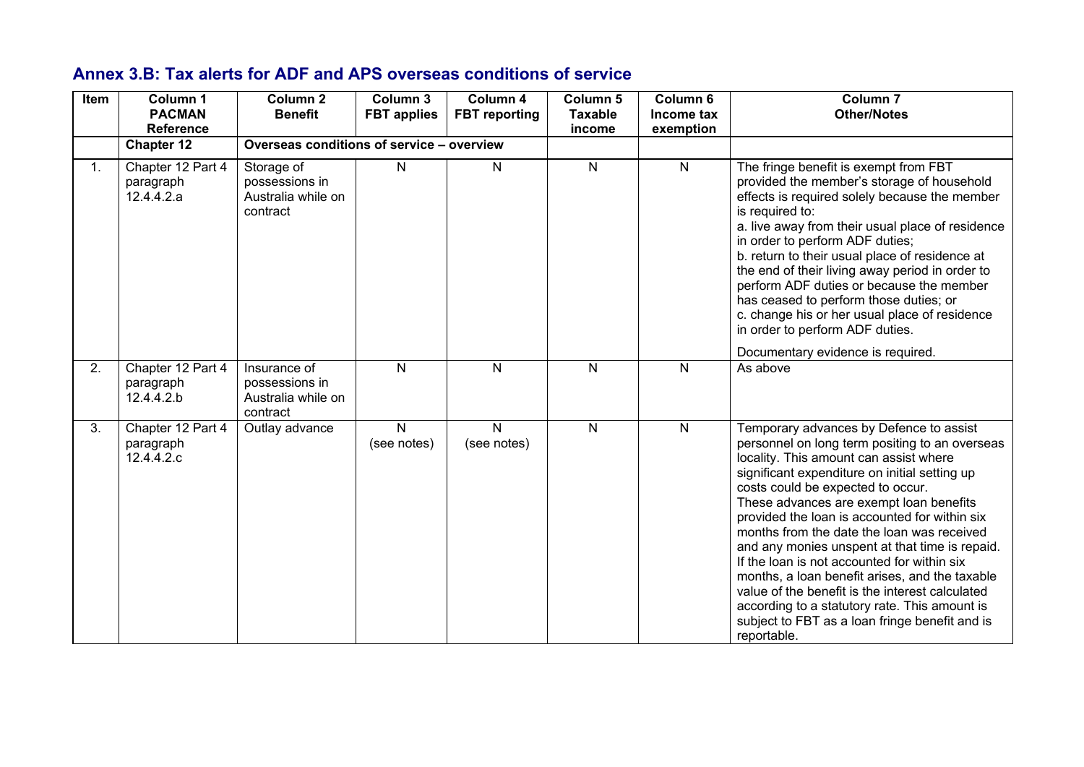## **Annex 3.B: Tax alerts for ADF and APS overseas conditions of service**

| Item | Column 1<br><b>PACMAN</b><br><b>Reference</b> | Column <sub>2</sub><br><b>Benefit</b>                            | Column 3<br><b>FBT</b> applies | Column 4<br><b>FBT</b> reporting | Column 5<br><b>Taxable</b><br>income | Column 6<br>Income tax<br>exemption | Column <sub>7</sub><br><b>Other/Notes</b>                                                                                                                                                                                                                                                                                                                                                                                                                                                                                                                                                                                                                                                   |
|------|-----------------------------------------------|------------------------------------------------------------------|--------------------------------|----------------------------------|--------------------------------------|-------------------------------------|---------------------------------------------------------------------------------------------------------------------------------------------------------------------------------------------------------------------------------------------------------------------------------------------------------------------------------------------------------------------------------------------------------------------------------------------------------------------------------------------------------------------------------------------------------------------------------------------------------------------------------------------------------------------------------------------|
|      | <b>Chapter 12</b>                             | Overseas conditions of service - overview                        |                                |                                  |                                      |                                     |                                                                                                                                                                                                                                                                                                                                                                                                                                                                                                                                                                                                                                                                                             |
| 1.   | Chapter 12 Part 4<br>paragraph<br>12.4.4.2.a  | Storage of<br>possessions in<br>Australia while on<br>contract   | N                              | N                                | $\mathsf{N}$                         | $\mathsf{N}$                        | The fringe benefit is exempt from FBT<br>provided the member's storage of household<br>effects is required solely because the member<br>is required to:<br>a. live away from their usual place of residence<br>in order to perform ADF duties;<br>b. return to their usual place of residence at<br>the end of their living away period in order to<br>perform ADF duties or because the member<br>has ceased to perform those duties; or<br>c. change his or her usual place of residence<br>in order to perform ADF duties.                                                                                                                                                               |
| 2.   | Chapter 12 Part 4<br>paragraph<br>12.4.4.2.b  | Insurance of<br>possessions in<br>Australia while on<br>contract | N.                             | N                                | N                                    | N                                   | Documentary evidence is required.<br>As above                                                                                                                                                                                                                                                                                                                                                                                                                                                                                                                                                                                                                                               |
| 3.   | Chapter 12 Part 4<br>paragraph<br>12.4.4.2.c  | Outlay advance                                                   | N<br>(see notes)               | N<br>(see notes)                 | $\mathsf{N}$                         | $\mathsf{N}$                        | Temporary advances by Defence to assist<br>personnel on long term positing to an overseas<br>locality. This amount can assist where<br>significant expenditure on initial setting up<br>costs could be expected to occur.<br>These advances are exempt loan benefits<br>provided the loan is accounted for within six<br>months from the date the loan was received<br>and any monies unspent at that time is repaid.<br>If the loan is not accounted for within six<br>months, a loan benefit arises, and the taxable<br>value of the benefit is the interest calculated<br>according to a statutory rate. This amount is<br>subject to FBT as a loan fringe benefit and is<br>reportable. |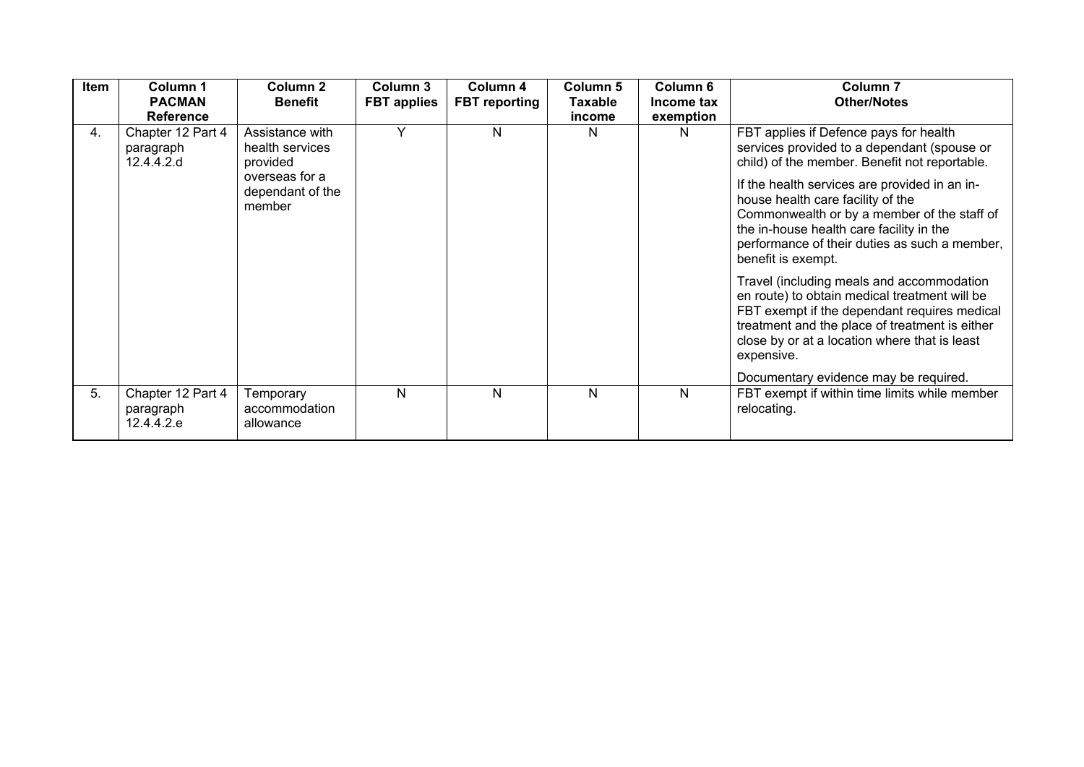| <b>Item</b> | Column 1<br><b>PACMAN</b><br><b>Reference</b> | Column <sub>2</sub><br><b>Benefit</b>          | Column 3<br><b>FBT</b> applies | Column 4<br><b>FBT</b> reporting | Column 5<br>Taxable<br>income | Column 6<br>Income tax<br>exemption | Column <sub>7</sub><br><b>Other/Notes</b>                                                                                                                                                                                                                   |
|-------------|-----------------------------------------------|------------------------------------------------|--------------------------------|----------------------------------|-------------------------------|-------------------------------------|-------------------------------------------------------------------------------------------------------------------------------------------------------------------------------------------------------------------------------------------------------------|
| 4.          | Chapter 12 Part 4<br>paragraph<br>12.4.4.2.d  | Assistance with<br>health services<br>provided | Y                              | N                                | N                             | N                                   | FBT applies if Defence pays for health<br>services provided to a dependant (spouse or<br>child) of the member. Benefit not reportable.                                                                                                                      |
|             |                                               | overseas for a<br>dependant of the<br>member   |                                |                                  |                               |                                     | If the health services are provided in an in-<br>house health care facility of the<br>Commonwealth or by a member of the staff of<br>the in-house health care facility in the<br>performance of their duties as such a member,<br>benefit is exempt.        |
|             |                                               |                                                |                                |                                  |                               |                                     | Travel (including meals and accommodation<br>en route) to obtain medical treatment will be<br>FBT exempt if the dependant requires medical<br>treatment and the place of treatment is either<br>close by or at a location where that is least<br>expensive. |
|             |                                               |                                                |                                |                                  |                               |                                     | Documentary evidence may be required.                                                                                                                                                                                                                       |
| 5.          | Chapter 12 Part 4<br>paragraph<br>12.4.4.2.e  | Temporary<br>accommodation<br>allowance        | N                              | N                                | N                             | N                                   | FBT exempt if within time limits while member<br>relocating.                                                                                                                                                                                                |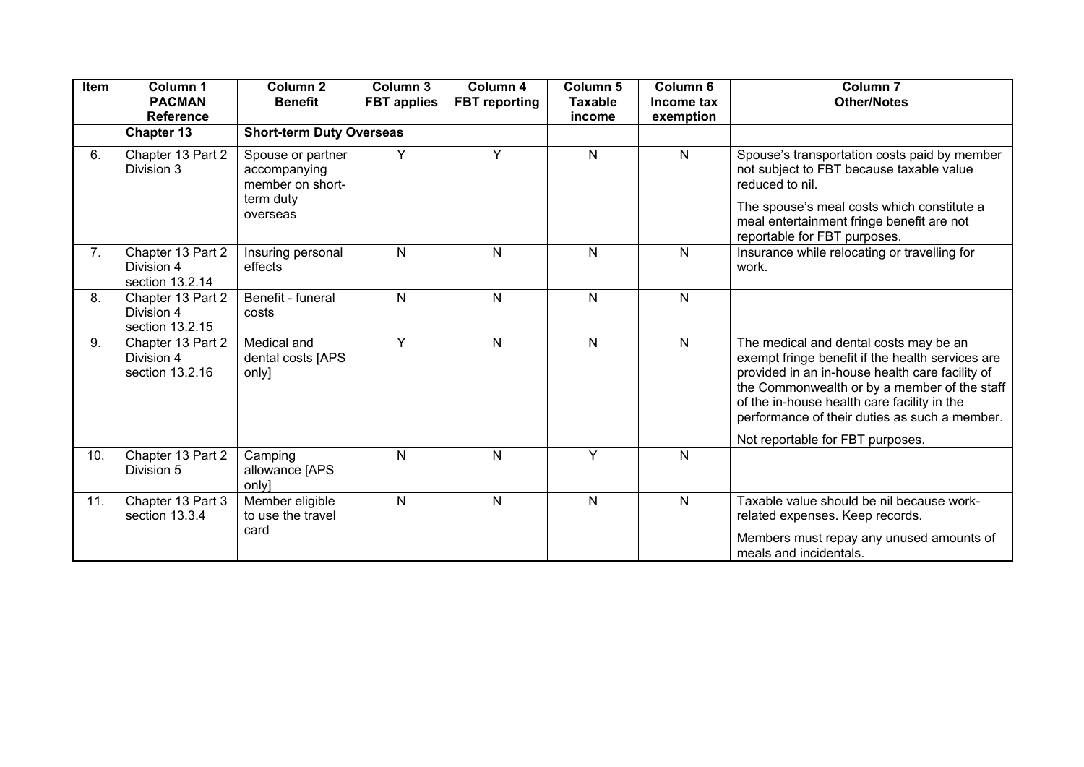| Item | Column 1<br><b>PACMAN</b><br><b>Reference</b>      | Column <sub>2</sub><br><b>Benefit</b>                                          | Column 3<br><b>FBT applies</b> | Column 4<br><b>FBT</b> reporting | <b>Column 5</b><br>Taxable<br>income | Column <sub>6</sub><br>Income tax<br>exemption | Column <sub>7</sub><br><b>Other/Notes</b>                                                                                                                                                                                                                                                     |
|------|----------------------------------------------------|--------------------------------------------------------------------------------|--------------------------------|----------------------------------|--------------------------------------|------------------------------------------------|-----------------------------------------------------------------------------------------------------------------------------------------------------------------------------------------------------------------------------------------------------------------------------------------------|
|      | <b>Chapter 13</b>                                  | <b>Short-term Duty Overseas</b>                                                |                                |                                  |                                      |                                                |                                                                                                                                                                                                                                                                                               |
| 6.   | Chapter 13 Part 2<br>Division 3                    | Spouse or partner<br>accompanying<br>member on short-<br>term duty<br>overseas | Y                              | Y                                | $\mathsf{N}$                         | $\mathsf{N}$                                   | Spouse's transportation costs paid by member<br>not subject to FBT because taxable value<br>reduced to nil.<br>The spouse's meal costs which constitute a<br>meal entertainment fringe benefit are not<br>reportable for FBT purposes.                                                        |
| 7.   | Chapter 13 Part 2<br>Division 4<br>section 13.2.14 | Insuring personal<br>effects                                                   | $\mathsf{N}$                   | N                                | N                                    | N                                              | Insurance while relocating or travelling for<br>work.                                                                                                                                                                                                                                         |
| 8.   | Chapter 13 Part 2<br>Division 4<br>section 13.2.15 | Benefit - funeral<br>costs                                                     | N                              | $\mathsf{N}$                     | N                                    | N                                              |                                                                                                                                                                                                                                                                                               |
| 9.   | Chapter 13 Part 2<br>Division 4<br>section 13.2.16 | Medical and<br>dental costs [APS<br>only]                                      | Y                              | $\mathsf{N}$                     | N                                    | N                                              | The medical and dental costs may be an<br>exempt fringe benefit if the health services are<br>provided in an in-house health care facility of<br>the Commonwealth or by a member of the staff<br>of the in-house health care facility in the<br>performance of their duties as such a member. |
|      |                                                    |                                                                                |                                |                                  |                                      |                                                | Not reportable for FBT purposes.                                                                                                                                                                                                                                                              |
| 10.  | Chapter 13 Part 2<br>Division 5                    | Camping<br>allowance [APS<br>only]                                             | $\overline{N}$                 | N                                | Y                                    | N                                              |                                                                                                                                                                                                                                                                                               |
| 11.  | Chapter 13 Part 3<br>section 13.3.4                | Member eligible<br>to use the travel<br>card                                   | N.                             | $\mathsf{N}$                     | N                                    | N                                              | Taxable value should be nil because work-<br>related expenses. Keep records.<br>Members must repay any unused amounts of                                                                                                                                                                      |
|      |                                                    |                                                                                |                                |                                  |                                      |                                                | meals and incidentals.                                                                                                                                                                                                                                                                        |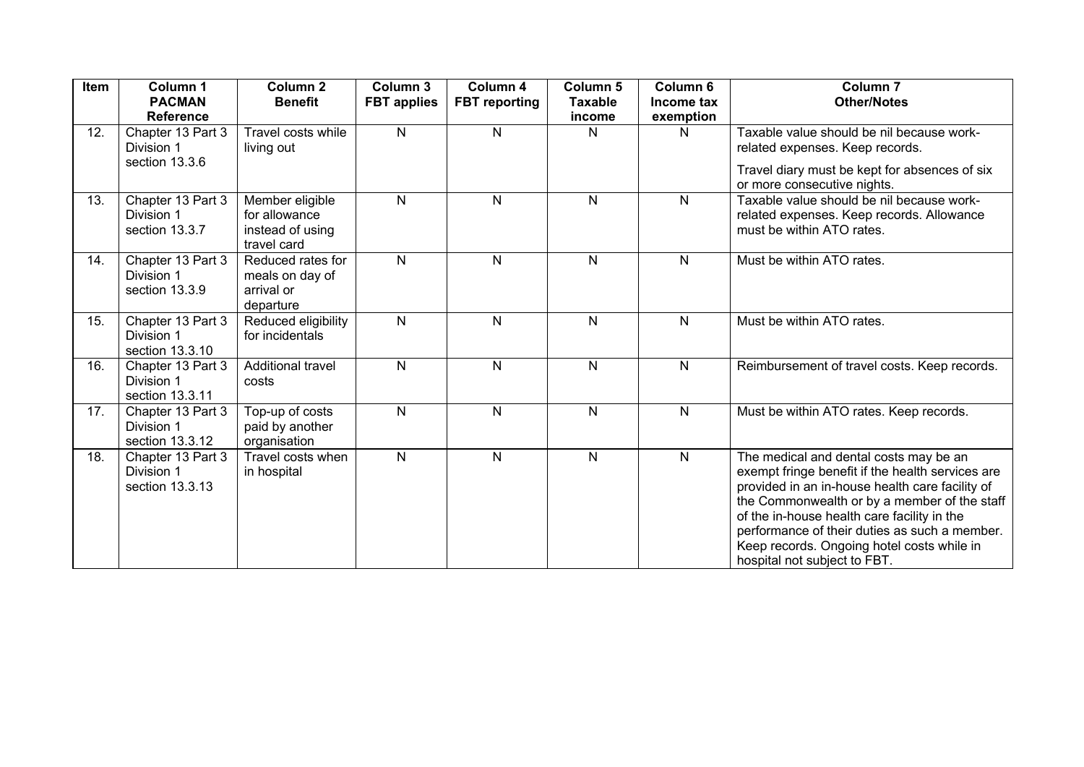| Item | Column 1<br><b>PACMAN</b><br><b>Reference</b>      | Column <sub>2</sub><br><b>Benefit</b>                               | Column 3<br><b>FBT applies</b> | Column 4<br><b>FBT</b> reporting | Column <sub>5</sub><br><b>Taxable</b><br>income | Column 6<br>Income tax<br>exemption | Column <sub>7</sub><br><b>Other/Notes</b>                                                                                                                                                                                                                                                                                                                                   |
|------|----------------------------------------------------|---------------------------------------------------------------------|--------------------------------|----------------------------------|-------------------------------------------------|-------------------------------------|-----------------------------------------------------------------------------------------------------------------------------------------------------------------------------------------------------------------------------------------------------------------------------------------------------------------------------------------------------------------------------|
| 12.  | Chapter 13 Part 3<br>Division 1                    | Travel costs while<br>living out                                    | $\mathsf{N}$                   | N                                | N                                               | N                                   | Taxable value should be nil because work-<br>related expenses. Keep records.                                                                                                                                                                                                                                                                                                |
|      | section 13.3.6                                     |                                                                     |                                |                                  |                                                 |                                     | Travel diary must be kept for absences of six<br>or more consecutive nights.                                                                                                                                                                                                                                                                                                |
| 13.  | Chapter 13 Part 3<br>Division 1<br>section 13.3.7  | Member eligible<br>for allowance<br>instead of using<br>travel card | N.                             | $\mathsf{N}$                     | N                                               | $\mathsf{N}$                        | Taxable value should be nil because work-<br>related expenses. Keep records. Allowance<br>must be within ATO rates.                                                                                                                                                                                                                                                         |
| 14.  | Chapter 13 Part 3<br>Division 1<br>section 13.3.9  | Reduced rates for<br>meals on day of<br>arrival or<br>departure     | $\mathsf{N}$                   | N                                | N                                               | $\mathsf{N}$                        | Must be within ATO rates.                                                                                                                                                                                                                                                                                                                                                   |
| 15.  | Chapter 13 Part 3<br>Division 1<br>section 13.3.10 | Reduced eligibility<br>for incidentals                              | N.                             | N                                | $\mathsf{N}$                                    | $\mathsf{N}$                        | Must be within ATO rates.                                                                                                                                                                                                                                                                                                                                                   |
| 16.  | Chapter 13 Part 3<br>Division 1<br>section 13.3.11 | Additional travel<br>costs                                          | $\mathsf{N}$                   | N                                | $\mathsf{N}$                                    | $\mathsf{N}$                        | Reimbursement of travel costs. Keep records.                                                                                                                                                                                                                                                                                                                                |
| 17.  | Chapter 13 Part 3<br>Division 1<br>section 13.3.12 | Top-up of costs<br>paid by another<br>organisation                  | $\mathsf{N}$                   | N                                | N                                               | $\mathsf{N}$                        | Must be within ATO rates. Keep records.                                                                                                                                                                                                                                                                                                                                     |
| 18.  | Chapter 13 Part 3<br>Division 1<br>section 13.3.13 | Travel costs when<br>in hospital                                    | N.                             | N                                | $\overline{N}$                                  | $\mathsf{N}$                        | The medical and dental costs may be an<br>exempt fringe benefit if the health services are<br>provided in an in-house health care facility of<br>the Commonwealth or by a member of the staff<br>of the in-house health care facility in the<br>performance of their duties as such a member.<br>Keep records. Ongoing hotel costs while in<br>hospital not subject to FBT. |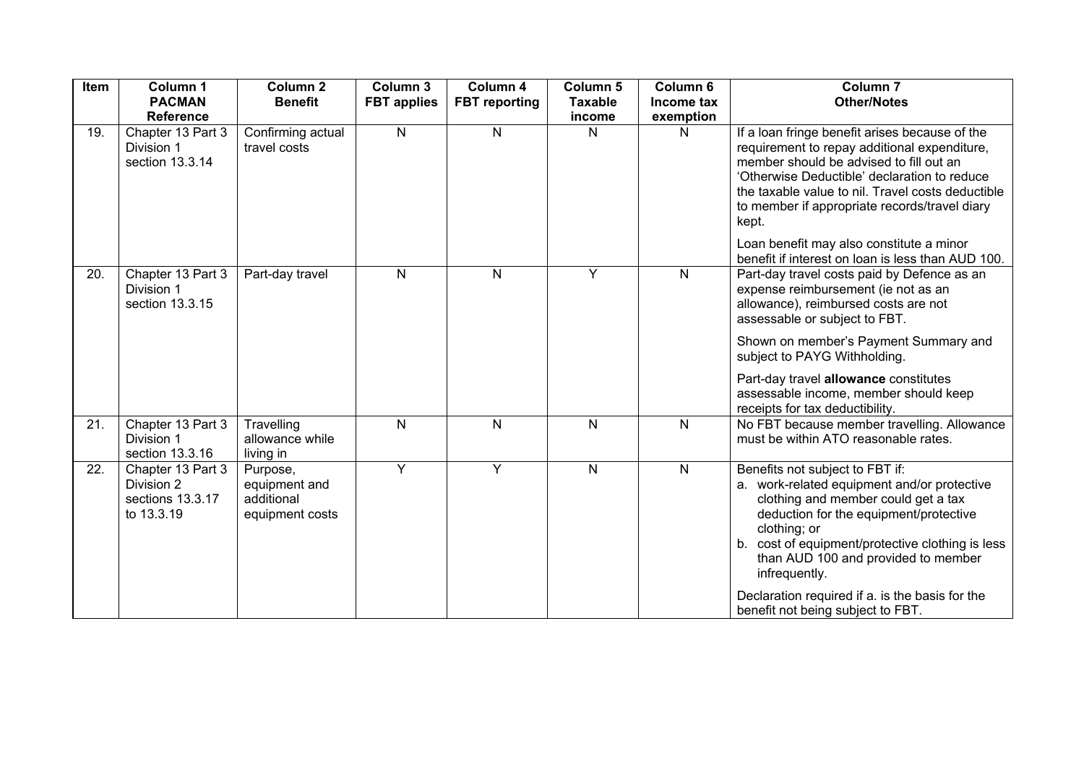| Item | Column 1<br><b>PACMAN</b><br><b>Reference</b>                     | <b>Column 2</b><br><b>Benefit</b>                          | Column 3<br><b>FBT</b> applies | Column 4<br><b>FBT</b> reporting | Column 5<br><b>Taxable</b><br>income | Column 6<br>Income tax<br>exemption | Column <sub>7</sub><br><b>Other/Notes</b>                                                                                                                                                                                                                                                                                                                                              |
|------|-------------------------------------------------------------------|------------------------------------------------------------|--------------------------------|----------------------------------|--------------------------------------|-------------------------------------|----------------------------------------------------------------------------------------------------------------------------------------------------------------------------------------------------------------------------------------------------------------------------------------------------------------------------------------------------------------------------------------|
| 19.  | Chapter 13 Part 3<br>Division 1<br>section 13.3.14                | Confirming actual<br>travel costs                          | $\mathsf{N}$                   | N                                | N                                    | $\mathsf{N}$                        | If a loan fringe benefit arises because of the<br>requirement to repay additional expenditure,<br>member should be advised to fill out an<br>'Otherwise Deductible' declaration to reduce<br>the taxable value to nil. Travel costs deductible<br>to member if appropriate records/travel diary<br>kept.                                                                               |
|      |                                                                   |                                                            |                                |                                  |                                      |                                     | Loan benefit may also constitute a minor<br>benefit if interest on loan is less than AUD 100.                                                                                                                                                                                                                                                                                          |
| 20.  | Chapter 13 Part 3<br>Division 1<br>section 13.3.15                | Part-day travel                                            | ${\sf N}$                      | $\mathsf{N}$                     | Y                                    | $\mathsf{N}$                        | Part-day travel costs paid by Defence as an<br>expense reimbursement (ie not as an<br>allowance), reimbursed costs are not<br>assessable or subject to FBT.                                                                                                                                                                                                                            |
|      |                                                                   |                                                            |                                |                                  |                                      |                                     | Shown on member's Payment Summary and<br>subject to PAYG Withholding.                                                                                                                                                                                                                                                                                                                  |
|      |                                                                   |                                                            |                                |                                  |                                      |                                     | Part-day travel allowance constitutes<br>assessable income, member should keep<br>receipts for tax deductibility.                                                                                                                                                                                                                                                                      |
| 21.  | Chapter 13 Part 3<br>Division 1<br>section 13.3.16                | Travelling<br>allowance while<br>living in                 | ${\sf N}$                      | N                                | N                                    | $\mathsf{N}$                        | No FBT because member travelling. Allowance<br>must be within ATO reasonable rates.                                                                                                                                                                                                                                                                                                    |
| 22.  | Chapter 13 Part 3<br>Division 2<br>sections 13.3.17<br>to 13.3.19 | Purpose,<br>equipment and<br>additional<br>equipment costs | Y                              | Y                                | ${\sf N}$                            | $\mathsf{N}$                        | Benefits not subject to FBT if:<br>a. work-related equipment and/or protective<br>clothing and member could get a tax<br>deduction for the equipment/protective<br>clothing; or<br>cost of equipment/protective clothing is less<br>b.<br>than AUD 100 and provided to member<br>infrequently.<br>Declaration required if a. is the basis for the<br>benefit not being subject to FBT. |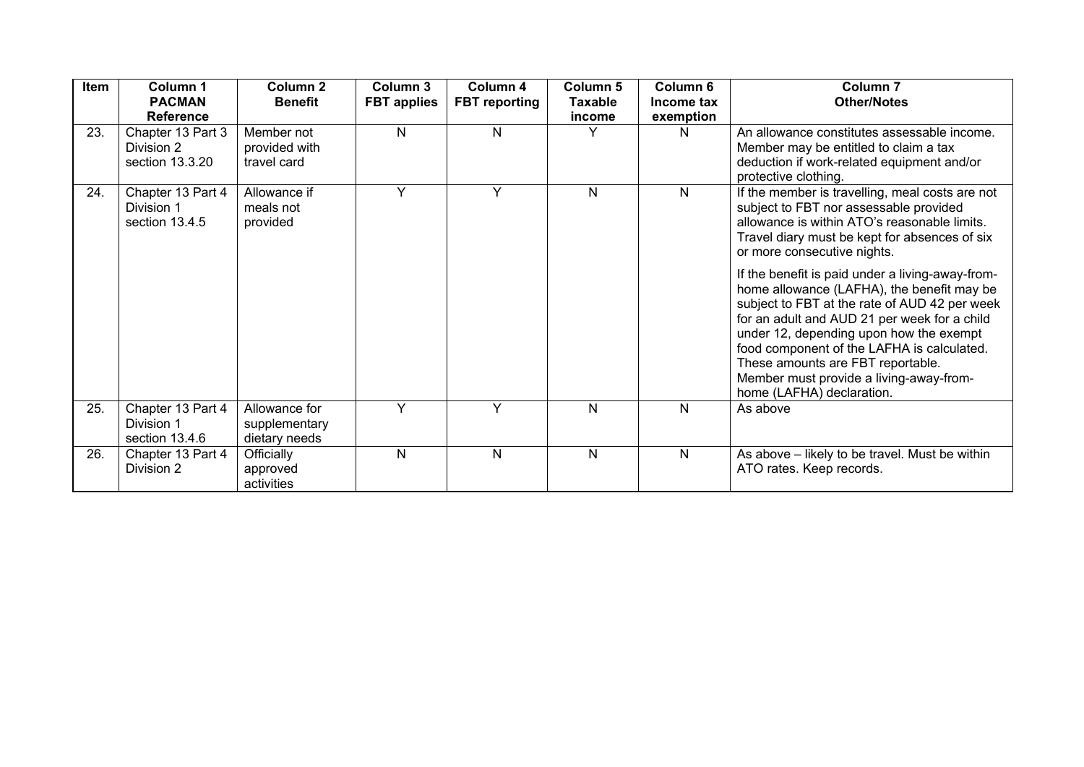| <b>Item</b> | Column 1<br><b>PACMAN</b><br><b>Reference</b>      | Column 2<br><b>Benefit</b>                      | Column 3<br><b>FBT</b> applies | Column 4<br><b>FBT</b> reporting | Column 5<br><b>Taxable</b><br>income | Column <sub>6</sub><br>Income tax<br>exemption | <b>Column 7</b><br><b>Other/Notes</b>                                                                                                                                                                                                                                                                                                                                                                 |
|-------------|----------------------------------------------------|-------------------------------------------------|--------------------------------|----------------------------------|--------------------------------------|------------------------------------------------|-------------------------------------------------------------------------------------------------------------------------------------------------------------------------------------------------------------------------------------------------------------------------------------------------------------------------------------------------------------------------------------------------------|
| 23.         | Chapter 13 Part 3<br>Division 2<br>section 13.3.20 | Member not<br>provided with<br>travel card      | N                              | N                                | Υ                                    | N                                              | An allowance constitutes assessable income.<br>Member may be entitled to claim a tax<br>deduction if work-related equipment and/or<br>protective clothing.                                                                                                                                                                                                                                            |
| 24.         | Chapter 13 Part 4<br>Division 1<br>section 13.4.5  | Allowance if<br>meals not<br>provided           | Y                              | Y                                | N                                    | N                                              | If the member is travelling, meal costs are not<br>subject to FBT nor assessable provided<br>allowance is within ATO's reasonable limits.<br>Travel diary must be kept for absences of six<br>or more consecutive nights.                                                                                                                                                                             |
|             |                                                    |                                                 |                                |                                  |                                      |                                                | If the benefit is paid under a living-away-from-<br>home allowance (LAFHA), the benefit may be<br>subject to FBT at the rate of AUD 42 per week<br>for an adult and AUD 21 per week for a child<br>under 12, depending upon how the exempt<br>food component of the LAFHA is calculated.<br>These amounts are FBT reportable.<br>Member must provide a living-away-from-<br>home (LAFHA) declaration. |
| 25.         | Chapter 13 Part 4<br>Division 1<br>section 13.4.6  | Allowance for<br>supplementary<br>dietary needs | Y                              | Y                                | N                                    | N                                              | As above                                                                                                                                                                                                                                                                                                                                                                                              |
| 26.         | Chapter 13 Part 4<br>Division 2                    | Officially<br>approved<br>activities            | N                              | N                                | N                                    | N                                              | As above - likely to be travel. Must be within<br>ATO rates. Keep records.                                                                                                                                                                                                                                                                                                                            |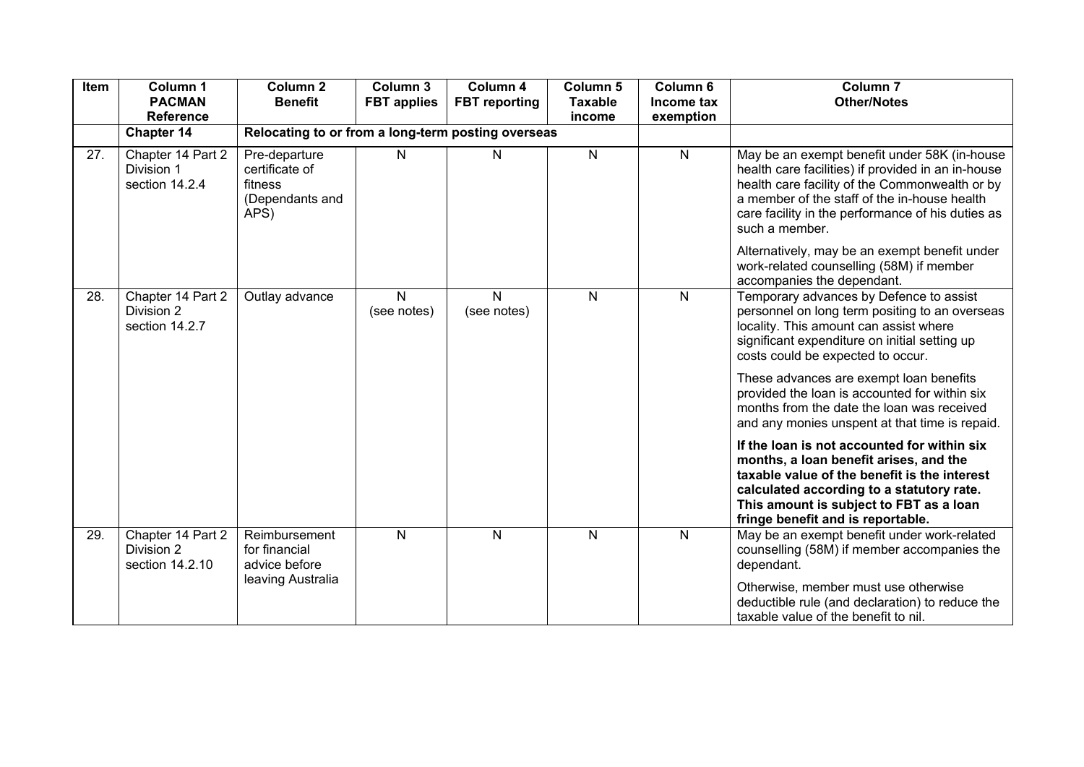| Item | Column 1<br><b>PACMAN</b><br><b>Reference</b>      | Column <sub>2</sub><br><b>Benefit</b>                                 | Column 3<br><b>FBT</b> applies | Column 4<br><b>FBT</b> reporting | Column 5<br><b>Taxable</b><br>income | Column 6<br>Income tax<br>exemption | Column <sub>7</sub><br><b>Other/Notes</b>                                                                                                                                                                                                                                   |
|------|----------------------------------------------------|-----------------------------------------------------------------------|--------------------------------|----------------------------------|--------------------------------------|-------------------------------------|-----------------------------------------------------------------------------------------------------------------------------------------------------------------------------------------------------------------------------------------------------------------------------|
|      | Chapter 14                                         | Relocating to or from a long-term posting overseas                    |                                |                                  |                                      |                                     |                                                                                                                                                                                                                                                                             |
| 27.  | Chapter 14 Part 2<br>Division 1<br>section 14.2.4  | Pre-departure<br>certificate of<br>fitness<br>(Dependants and<br>APS) | N                              | N                                | N                                    | N                                   | May be an exempt benefit under 58K (in-house<br>health care facilities) if provided in an in-house<br>health care facility of the Commonwealth or by<br>a member of the staff of the in-house health<br>care facility in the performance of his duties as<br>such a member. |
|      |                                                    |                                                                       |                                |                                  |                                      |                                     | Alternatively, may be an exempt benefit under<br>work-related counselling (58M) if member<br>accompanies the dependant.                                                                                                                                                     |
| 28.  | Chapter 14 Part 2<br>Division 2<br>section 14.2.7  | Outlay advance                                                        | $\mathsf{N}$<br>(see notes)    | N<br>(see notes)                 | $\mathsf{N}$                         | $\mathsf{N}$                        | Temporary advances by Defence to assist<br>personnel on long term positing to an overseas<br>locality. This amount can assist where<br>significant expenditure on initial setting up<br>costs could be expected to occur.                                                   |
|      |                                                    |                                                                       |                                |                                  |                                      |                                     | These advances are exempt loan benefits<br>provided the loan is accounted for within six<br>months from the date the loan was received<br>and any monies unspent at that time is repaid.                                                                                    |
|      |                                                    |                                                                       |                                |                                  |                                      |                                     | If the loan is not accounted for within six<br>months, a loan benefit arises, and the<br>taxable value of the benefit is the interest<br>calculated according to a statutory rate.<br>This amount is subject to FBT as a loan<br>fringe benefit and is reportable.          |
| 29.  | Chapter 14 Part 2<br>Division 2<br>section 14.2.10 | Reimbursement<br>for financial<br>advice before                       | N                              | $\mathsf{N}$                     | N                                    | N                                   | May be an exempt benefit under work-related<br>counselling (58M) if member accompanies the<br>dependant.                                                                                                                                                                    |
|      |                                                    | leaving Australia                                                     |                                |                                  |                                      |                                     | Otherwise, member must use otherwise<br>deductible rule (and declaration) to reduce the<br>taxable value of the benefit to nil.                                                                                                                                             |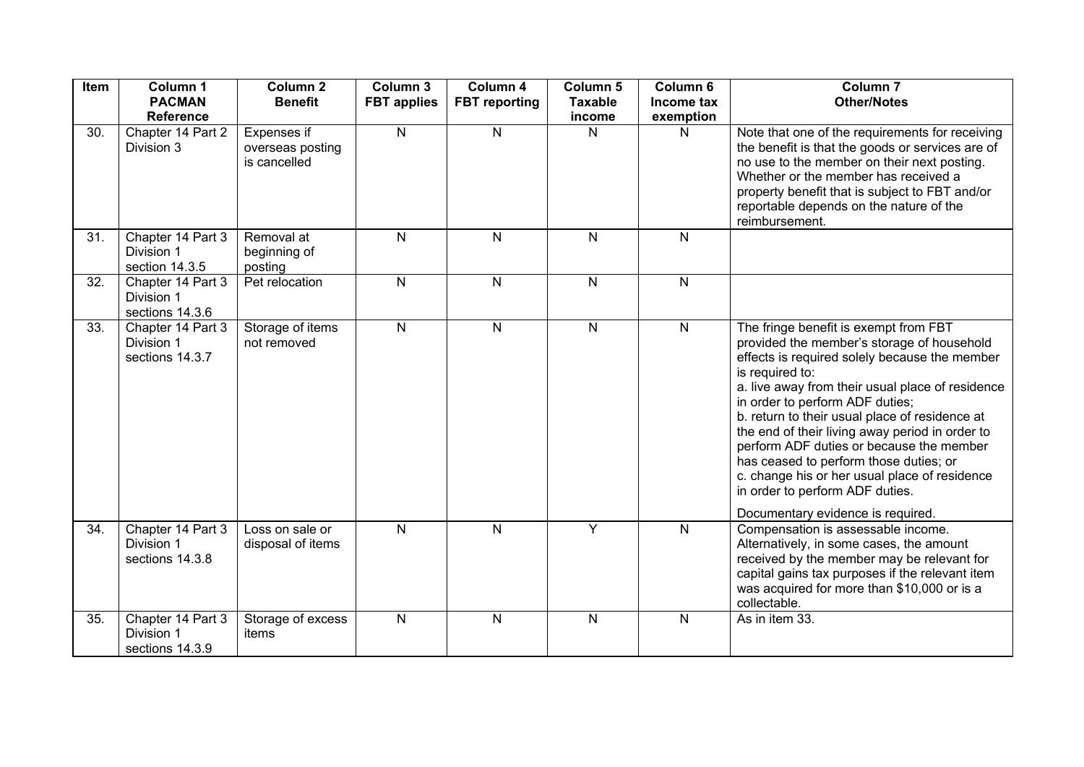| Item | Column 1<br><b>PACMAN</b><br><b>Reference</b>      | Column <sub>2</sub><br><b>Benefit</b>           | Column 3<br><b>FBT</b> applies | Column 4<br><b>FBT</b> reporting | Column 5<br><b>Taxable</b><br>income | Column 6<br>Income tax<br>exemption | Column <sub>7</sub><br><b>Other/Notes</b>                                                                                                                                                                                                                                                                                                                                                                                                                                                                                                                          |
|------|----------------------------------------------------|-------------------------------------------------|--------------------------------|----------------------------------|--------------------------------------|-------------------------------------|--------------------------------------------------------------------------------------------------------------------------------------------------------------------------------------------------------------------------------------------------------------------------------------------------------------------------------------------------------------------------------------------------------------------------------------------------------------------------------------------------------------------------------------------------------------------|
| 30.  | Chapter 14 Part 2<br>Division 3                    | Expenses if<br>overseas posting<br>is cancelled | $\mathsf{N}$                   | $\mathsf{N}$                     | N                                    | N                                   | Note that one of the requirements for receiving<br>the benefit is that the goods or services are of<br>no use to the member on their next posting.<br>Whether or the member has received a<br>property benefit that is subject to FBT and/or<br>reportable depends on the nature of the<br>reimbursement.                                                                                                                                                                                                                                                          |
| 31.  | Chapter 14 Part 3<br>Division 1<br>section 14.3.5  | Removal at<br>beginning of<br>posting           | $\mathsf{N}$                   | $\mathsf{N}$                     | $\mathsf{N}$                         | $\mathsf{N}$                        |                                                                                                                                                                                                                                                                                                                                                                                                                                                                                                                                                                    |
| 32.  | Chapter 14 Part 3<br>Division 1<br>sections 14.3.6 | Pet relocation                                  | ${\sf N}$                      | $\mathsf{N}$                     | $\mathsf{N}$                         | $\mathsf{N}$                        |                                                                                                                                                                                                                                                                                                                                                                                                                                                                                                                                                                    |
| 33.  | Chapter 14 Part 3<br>Division 1<br>sections 14.3.7 | Storage of items<br>not removed                 | $\overline{\mathsf{N}}$        | $\mathsf{N}$                     | $\mathsf{N}$                         | ${\sf N}$                           | The fringe benefit is exempt from FBT<br>provided the member's storage of household<br>effects is required solely because the member<br>is required to:<br>a. live away from their usual place of residence<br>in order to perform ADF duties;<br>b. return to their usual place of residence at<br>the end of their living away period in order to<br>perform ADF duties or because the member<br>has ceased to perform those duties; or<br>c. change his or her usual place of residence<br>in order to perform ADF duties.<br>Documentary evidence is required. |
| 34.  | Chapter 14 Part 3<br>Division 1<br>sections 14.3.8 | Loss on sale or<br>disposal of items            | $\mathsf{N}$                   | $\mathsf{N}$                     | Y                                    | $\mathsf{N}$                        | Compensation is assessable income.<br>Alternatively, in some cases, the amount<br>received by the member may be relevant for<br>capital gains tax purposes if the relevant item<br>was acquired for more than \$10,000 or is a<br>collectable.                                                                                                                                                                                                                                                                                                                     |
| 35.  | Chapter 14 Part 3<br>Division 1<br>sections 14.3.9 | Storage of excess<br>items                      | ${\sf N}$                      | N                                | N                                    | $\mathsf{N}$                        | As in item 33.                                                                                                                                                                                                                                                                                                                                                                                                                                                                                                                                                     |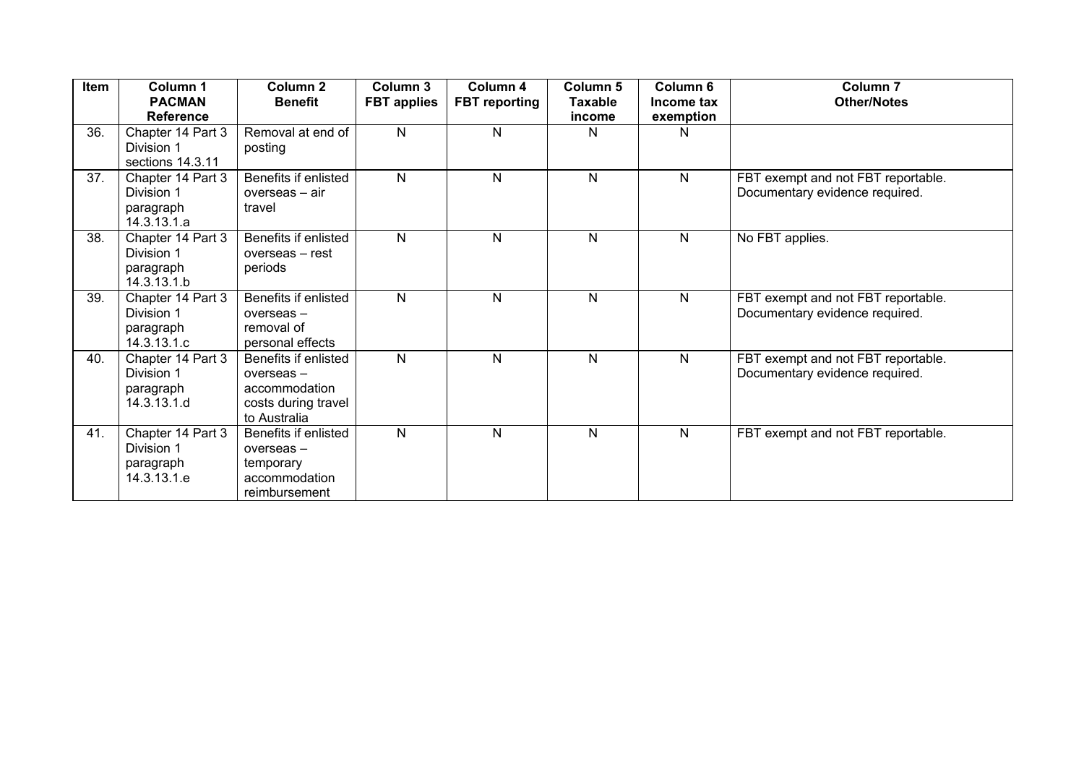| Item | Column 1<br><b>PACMAN</b><br><b>Reference</b>               | Column <sub>2</sub><br><b>Benefit</b>                                                     | Column 3<br><b>FBT</b> applies | Column 4<br><b>FBT</b> reporting | <b>Column 5</b><br><b>Taxable</b><br>income | Column <sub>6</sub><br>Income tax<br>exemption | <b>Column 7</b><br><b>Other/Notes</b>                                |
|------|-------------------------------------------------------------|-------------------------------------------------------------------------------------------|--------------------------------|----------------------------------|---------------------------------------------|------------------------------------------------|----------------------------------------------------------------------|
| 36.  | Chapter 14 Part 3<br>Division 1<br>sections 14.3.11         | Removal at end of<br>posting                                                              | N                              | N                                | N                                           | N                                              |                                                                      |
| 37.  | Chapter 14 Part 3<br>Division 1<br>paragraph<br>14.3.13.1.a | Benefits if enlisted<br>overseas - air<br>travel                                          | N                              | N                                | N                                           | N                                              | FBT exempt and not FBT reportable.<br>Documentary evidence required. |
| 38.  | Chapter 14 Part 3<br>Division 1<br>paragraph<br>14.3.13.1.b | Benefits if enlisted<br>overseas - rest<br>periods                                        | N                              | N                                | N                                           | N.                                             | No FBT applies.                                                      |
| 39.  | Chapter 14 Part 3<br>Division 1<br>paragraph<br>14.3.13.1.c | Benefits if enlisted<br>overseas-<br>removal of<br>personal effects                       | N                              | N                                | N                                           | $\mathsf{N}$                                   | FBT exempt and not FBT reportable.<br>Documentary evidence required. |
| 40.  | Chapter 14 Part 3<br>Division 1<br>paragraph<br>14.3.13.1.d | Benefits if enlisted<br>overseas-<br>accommodation<br>costs during travel<br>to Australia | $\mathsf{N}$                   | N                                | $\mathsf{N}$                                | N                                              | FBT exempt and not FBT reportable.<br>Documentary evidence required. |
| 41.  | Chapter 14 Part 3<br>Division 1<br>paragraph<br>14.3.13.1.e | Benefits if enlisted<br>overseas-<br>temporary<br>accommodation<br>reimbursement          | N                              | N                                | N                                           | $\mathsf{N}$                                   | FBT exempt and not FBT reportable.                                   |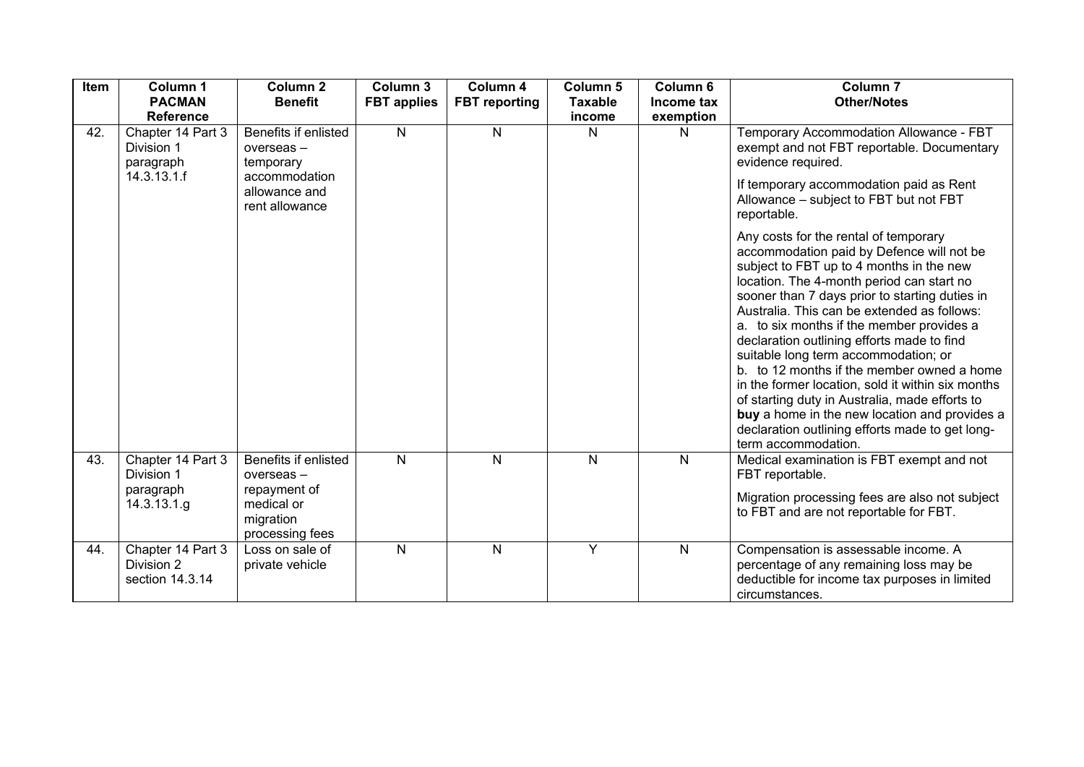| Item | Column 1<br><b>PACMAN</b><br><b>Reference</b>               | Column <sub>2</sub><br><b>Benefit</b>                                        | Column 3<br><b>FBT</b> applies | Column 4<br><b>FBT</b> reporting | Column 5<br><b>Taxable</b><br>income | Column <sub>6</sub><br>Income tax<br>exemption | Column <sub>7</sub><br><b>Other/Notes</b>                                                                                                                                                                                                                                                                                                                                                                                                                                                                                                                                                                                                                                                       |
|------|-------------------------------------------------------------|------------------------------------------------------------------------------|--------------------------------|----------------------------------|--------------------------------------|------------------------------------------------|-------------------------------------------------------------------------------------------------------------------------------------------------------------------------------------------------------------------------------------------------------------------------------------------------------------------------------------------------------------------------------------------------------------------------------------------------------------------------------------------------------------------------------------------------------------------------------------------------------------------------------------------------------------------------------------------------|
| 42.  | Chapter 14 Part 3<br>Division 1<br>paragraph                | Benefits if enlisted<br>overseas-<br>temporary                               | $\mathsf{N}$                   | N                                | N                                    | N                                              | Temporary Accommodation Allowance - FBT<br>exempt and not FBT reportable. Documentary<br>evidence required.                                                                                                                                                                                                                                                                                                                                                                                                                                                                                                                                                                                     |
|      | 14.3.13.1.f                                                 | accommodation<br>allowance and<br>rent allowance                             |                                |                                  |                                      |                                                | If temporary accommodation paid as Rent<br>Allowance - subject to FBT but not FBT<br>reportable.                                                                                                                                                                                                                                                                                                                                                                                                                                                                                                                                                                                                |
|      |                                                             |                                                                              |                                |                                  |                                      |                                                | Any costs for the rental of temporary<br>accommodation paid by Defence will not be<br>subject to FBT up to 4 months in the new<br>location. The 4-month period can start no<br>sooner than 7 days prior to starting duties in<br>Australia. This can be extended as follows:<br>a. to six months if the member provides a<br>declaration outlining efforts made to find<br>suitable long term accommodation; or<br>b. to 12 months if the member owned a home<br>in the former location, sold it within six months<br>of starting duty in Australia, made efforts to<br>buy a home in the new location and provides a<br>declaration outlining efforts made to get long-<br>term accommodation. |
| 43.  | Chapter 14 Part 3<br>Division 1<br>paragraph<br>14.3.13.1.g | Benefits if enlisted<br>overseas-<br>repayment of<br>medical or<br>migration | N.                             | N                                | N                                    | $\mathsf{N}$                                   | Medical examination is FBT exempt and not<br>FBT reportable.<br>Migration processing fees are also not subject<br>to FBT and are not reportable for FBT.                                                                                                                                                                                                                                                                                                                                                                                                                                                                                                                                        |
| 44.  | Chapter 14 Part 3<br>Division 2<br>section 14.3.14          | processing fees<br>Loss on sale of<br>private vehicle                        | N.                             | N                                | Y                                    | $\mathsf{N}$                                   | Compensation is assessable income. A<br>percentage of any remaining loss may be<br>deductible for income tax purposes in limited<br>circumstances.                                                                                                                                                                                                                                                                                                                                                                                                                                                                                                                                              |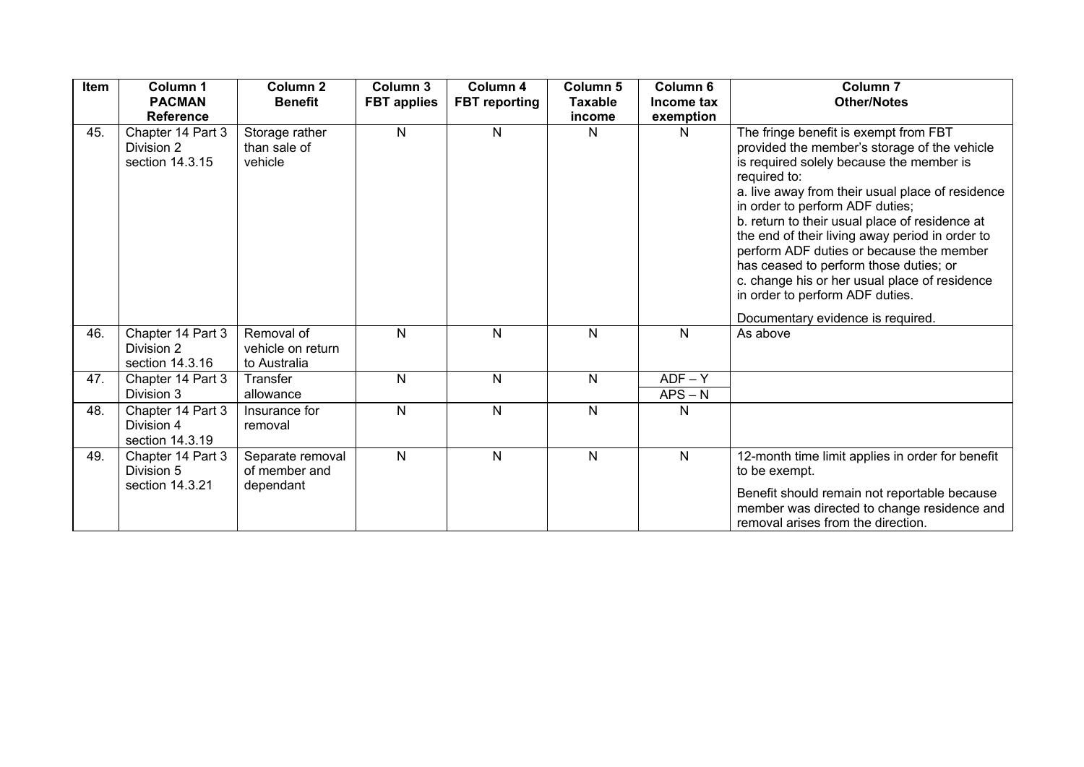| Item | Column 1<br><b>PACMAN</b><br><b>Reference</b>      | Column 2<br><b>Benefit</b>                      | Column 3<br><b>FBT</b> applies | Column 4<br><b>FBT</b> reporting | Column <sub>5</sub><br><b>Taxable</b><br>income | Column <sub>6</sub><br>Income tax<br>exemption | <b>Column 7</b><br><b>Other/Notes</b>                                                                                                                                                                                                                                                                                                                                                                                                                                                                                                                        |
|------|----------------------------------------------------|-------------------------------------------------|--------------------------------|----------------------------------|-------------------------------------------------|------------------------------------------------|--------------------------------------------------------------------------------------------------------------------------------------------------------------------------------------------------------------------------------------------------------------------------------------------------------------------------------------------------------------------------------------------------------------------------------------------------------------------------------------------------------------------------------------------------------------|
| 45.  | Chapter 14 Part 3<br>Division 2<br>section 14.3.15 | Storage rather<br>than sale of<br>vehicle       | N                              | N                                | N                                               | Ν                                              | The fringe benefit is exempt from FBT<br>provided the member's storage of the vehicle<br>is required solely because the member is<br>required to:<br>a. live away from their usual place of residence<br>in order to perform ADF duties;<br>b. return to their usual place of residence at<br>the end of their living away period in order to<br>perform ADF duties or because the member<br>has ceased to perform those duties; or<br>c. change his or her usual place of residence<br>in order to perform ADF duties.<br>Documentary evidence is required. |
| 46.  | Chapter 14 Part 3<br>Division 2<br>section 14.3.16 | Removal of<br>vehicle on return<br>to Australia | N                              | N                                | N                                               | N                                              | As above                                                                                                                                                                                                                                                                                                                                                                                                                                                                                                                                                     |
| 47.  | Chapter 14 Part 3<br>Division 3                    | Transfer<br>allowance                           | $\mathsf{N}$                   | N                                | N                                               | $ADF - Y$<br>$APS - N$                         |                                                                                                                                                                                                                                                                                                                                                                                                                                                                                                                                                              |
| 48.  | Chapter 14 Part 3<br>Division 4<br>section 14.3.19 | Insurance for<br>removal                        | $\mathsf{N}$                   | N                                | N                                               | N                                              |                                                                                                                                                                                                                                                                                                                                                                                                                                                                                                                                                              |
| 49.  | Chapter 14 Part 3<br>Division 5<br>section 14.3.21 | Separate removal<br>of member and<br>dependant  | N                              | N                                | N                                               | N                                              | 12-month time limit applies in order for benefit<br>to be exempt.<br>Benefit should remain not reportable because<br>member was directed to change residence and<br>removal arises from the direction.                                                                                                                                                                                                                                                                                                                                                       |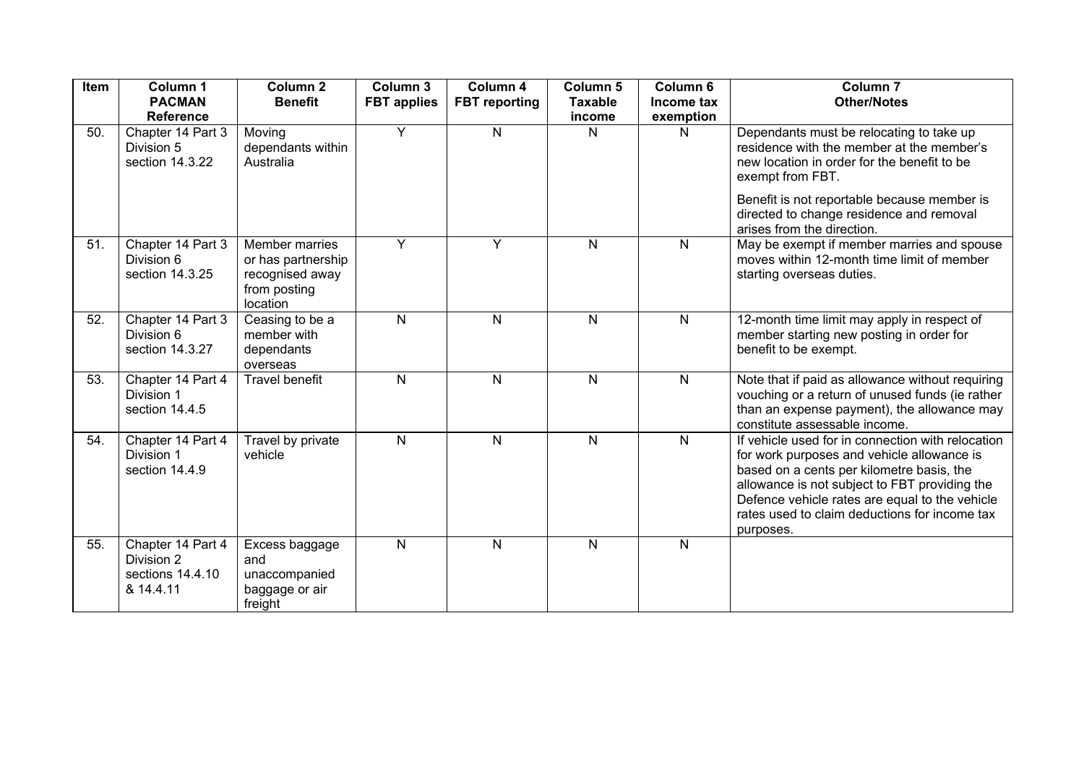| Item | Column 1<br><b>PACMAN</b><br><b>Reference</b>                    | Column <sub>2</sub><br><b>Benefit</b>                                               | Column 3<br><b>FBT</b> applies | Column 4<br><b>FBT</b> reporting | Column 5<br><b>Taxable</b><br>income | Column 6<br>Income tax<br>exemption | Column <sub>7</sub><br><b>Other/Notes</b>                                                                                                                                                                                                                                                                     |
|------|------------------------------------------------------------------|-------------------------------------------------------------------------------------|--------------------------------|----------------------------------|--------------------------------------|-------------------------------------|---------------------------------------------------------------------------------------------------------------------------------------------------------------------------------------------------------------------------------------------------------------------------------------------------------------|
| 50.  | Chapter 14 Part 3<br>Division 5<br>section 14.3.22               | Moving<br>dependants within<br>Australia                                            | $\overline{Y}$                 | $\mathsf{N}$                     | N                                    | N                                   | Dependants must be relocating to take up<br>residence with the member at the member's<br>new location in order for the benefit to be<br>exempt from FBT.                                                                                                                                                      |
|      |                                                                  |                                                                                     |                                |                                  |                                      |                                     | Benefit is not reportable because member is<br>directed to change residence and removal<br>arises from the direction.                                                                                                                                                                                         |
| 51.  | Chapter 14 Part 3<br>Division 6<br>section 14.3.25               | Member marries<br>or has partnership<br>recognised away<br>from posting<br>location | Y                              | Y                                | $\mathsf{N}$                         | $\mathsf{N}$                        | May be exempt if member marries and spouse<br>moves within 12-month time limit of member<br>starting overseas duties.                                                                                                                                                                                         |
| 52.  | Chapter 14 Part 3<br>Division 6<br>section 14.3.27               | Ceasing to be a<br>member with<br>dependants<br>overseas                            | ${\sf N}$                      | $\mathsf{N}$                     | $\mathsf{N}$                         | N                                   | 12-month time limit may apply in respect of<br>member starting new posting in order for<br>benefit to be exempt.                                                                                                                                                                                              |
| 53.  | Chapter 14 Part 4<br>Division 1<br>section 14.4.5                | <b>Travel benefit</b>                                                               | $\mathsf{N}$                   | $\mathsf{N}$                     | $\mathsf{N}$                         | N                                   | Note that if paid as allowance without requiring<br>vouching or a return of unused funds (ie rather<br>than an expense payment), the allowance may<br>constitute assessable income.                                                                                                                           |
| 54.  | Chapter 14 Part 4<br>Division 1<br>section 14.4.9                | Travel by private<br>vehicle                                                        | $\mathsf{N}$                   | N                                | $\mathsf{N}$                         | $\overline{N}$                      | If vehicle used for in connection with relocation<br>for work purposes and vehicle allowance is<br>based on a cents per kilometre basis, the<br>allowance is not subject to FBT providing the<br>Defence vehicle rates are equal to the vehicle<br>rates used to claim deductions for income tax<br>purposes. |
| 55.  | Chapter 14 Part 4<br>Division 2<br>sections 14.4.10<br>& 14.4.11 | Excess baggage<br>and<br>unaccompanied<br>baggage or air<br>freight                 | $\mathsf{N}$                   | N                                | N                                    | $\mathsf{N}$                        |                                                                                                                                                                                                                                                                                                               |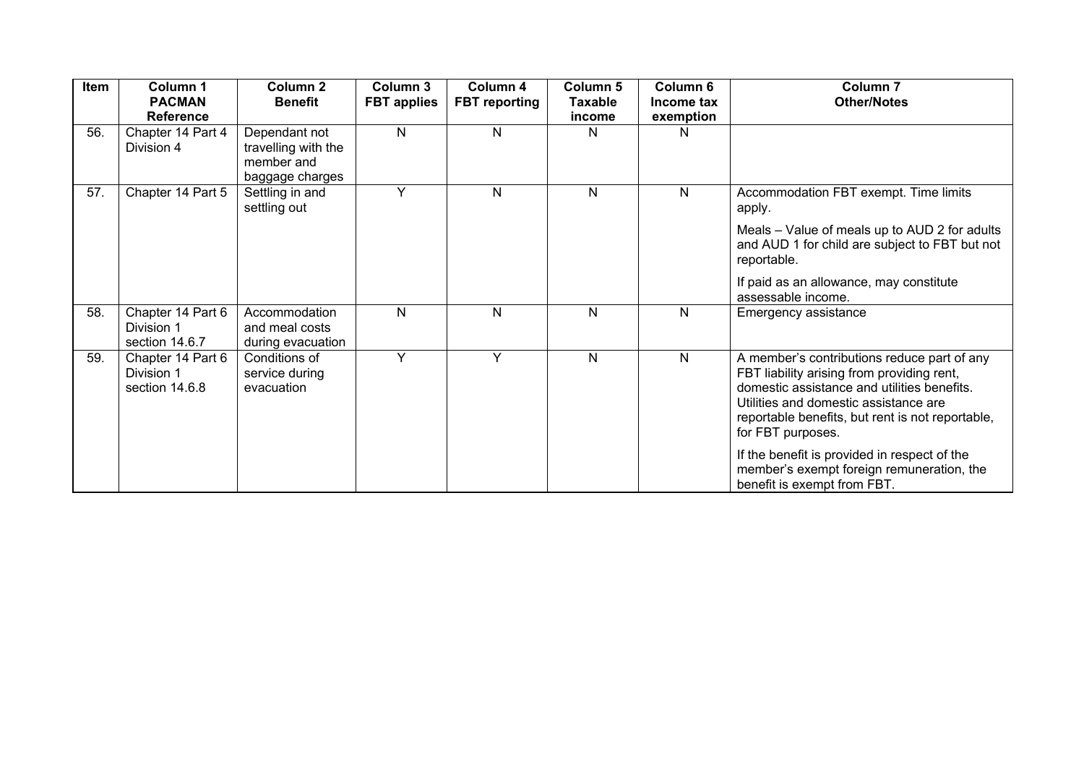| Item | Column 1<br><b>PACMAN</b><br><b>Reference</b>     | Column <sub>2</sub><br><b>Benefit</b>                                 | Column 3<br><b>FBT</b> applies | Column 4<br><b>FBT</b> reporting | Column 5<br><b>Taxable</b><br>income | Column <sub>6</sub><br>Income tax<br>exemption | Column <sub>7</sub><br><b>Other/Notes</b>                                                                                                                                                                                                                  |
|------|---------------------------------------------------|-----------------------------------------------------------------------|--------------------------------|----------------------------------|--------------------------------------|------------------------------------------------|------------------------------------------------------------------------------------------------------------------------------------------------------------------------------------------------------------------------------------------------------------|
| 56.  | Chapter 14 Part 4<br>Division 4                   | Dependant not<br>travelling with the<br>member and<br>baggage charges | $\mathsf{N}$                   | N                                | N                                    | N                                              |                                                                                                                                                                                                                                                            |
| 57.  | Chapter 14 Part 5                                 | Settling in and<br>settling out                                       | Y                              | N                                | N                                    | N                                              | Accommodation FBT exempt. Time limits<br>apply.                                                                                                                                                                                                            |
|      |                                                   |                                                                       |                                |                                  |                                      |                                                | Meals - Value of meals up to AUD 2 for adults<br>and AUD 1 for child are subject to FBT but not<br>reportable.                                                                                                                                             |
|      |                                                   |                                                                       |                                |                                  |                                      |                                                | If paid as an allowance, may constitute<br>assessable income.                                                                                                                                                                                              |
| 58.  | Chapter 14 Part 6<br>Division 1<br>section 14.6.7 | Accommodation<br>and meal costs<br>during evacuation                  | N                              | N                                | $\mathsf{N}$                         | N                                              | Emergency assistance                                                                                                                                                                                                                                       |
| 59.  | Chapter 14 Part 6<br>Division 1<br>section 14.6.8 | Conditions of<br>service during<br>evacuation                         | Y                              | Y                                | N                                    | N                                              | A member's contributions reduce part of any<br>FBT liability arising from providing rent,<br>domestic assistance and utilities benefits.<br>Utilities and domestic assistance are<br>reportable benefits, but rent is not reportable,<br>for FBT purposes. |
|      |                                                   |                                                                       |                                |                                  |                                      |                                                | If the benefit is provided in respect of the<br>member's exempt foreign remuneration, the<br>benefit is exempt from FBT.                                                                                                                                   |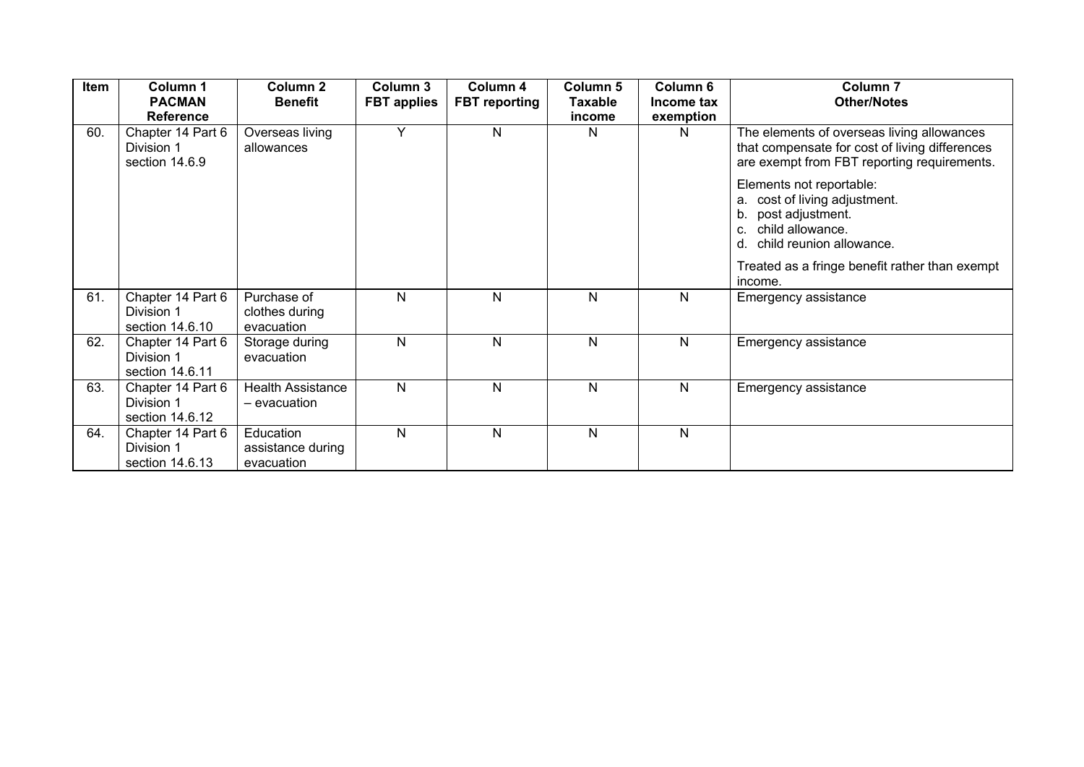| Item | Column 1<br><b>PACMAN</b><br><b>Reference</b>      | Column <sub>2</sub><br><b>Benefit</b>        | Column 3<br><b>FBT</b> applies | Column 4<br><b>FBT reporting</b> | Column 5<br><b>Taxable</b><br>income | Column 6<br>Income tax<br>exemption | Column <sub>7</sub><br><b>Other/Notes</b>                                                                                                          |
|------|----------------------------------------------------|----------------------------------------------|--------------------------------|----------------------------------|--------------------------------------|-------------------------------------|----------------------------------------------------------------------------------------------------------------------------------------------------|
| 60.  | Chapter 14 Part 6<br>Division 1<br>section 14.6.9  | Overseas living<br>allowances                | Y                              | N                                | N                                    | N.                                  | The elements of overseas living allowances<br>that compensate for cost of living differences<br>are exempt from FBT reporting requirements.        |
|      |                                                    |                                              |                                |                                  |                                      |                                     | Elements not reportable:<br>cost of living adjustment.<br>a.<br>post adjustment.<br>b.<br>child allowance.<br>c.<br>d.<br>child reunion allowance. |
|      |                                                    |                                              |                                |                                  |                                      |                                     | Treated as a fringe benefit rather than exempt<br>income.                                                                                          |
| 61.  | Chapter 14 Part 6<br>Division 1<br>section 14.6.10 | Purchase of<br>clothes during<br>evacuation  | N                              | N                                | N                                    | N                                   | Emergency assistance                                                                                                                               |
| 62.  | Chapter 14 Part 6<br>Division 1<br>section 14.6.11 | Storage during<br>evacuation                 | N                              | N                                | N                                    | N                                   | Emergency assistance                                                                                                                               |
| 63.  | Chapter 14 Part 6<br>Division 1<br>section 14.6.12 | <b>Health Assistance</b><br>– evacuation     | N                              | $\mathsf{N}$                     | $\mathsf{N}$                         | $\mathsf{N}$                        | Emergency assistance                                                                                                                               |
| 64.  | Chapter 14 Part 6<br>Division 1<br>section 14.6.13 | Education<br>assistance during<br>evacuation | N                              | $\mathsf{N}$                     | N                                    | N                                   |                                                                                                                                                    |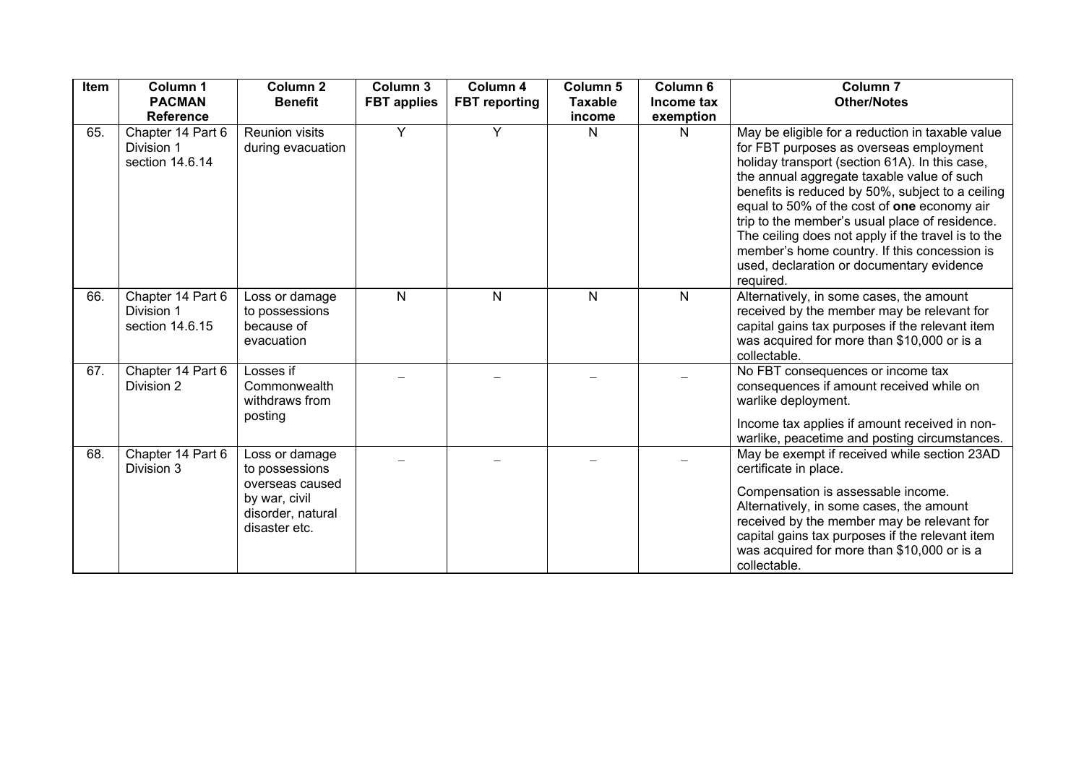| Item | Column 1<br><b>PACMAN</b><br><b>Reference</b>      | Column <sub>2</sub><br><b>Benefit</b>                                                                      | Column 3<br><b>FBT</b> applies | Column 4<br><b>FBT</b> reporting | Column 5<br><b>Taxable</b><br>income | Column 6<br>Income tax<br>exemption | Column <sub>7</sub><br><b>Other/Notes</b>                                                                                                                                                                                                                                                                                                                                                                                                                                                                        |
|------|----------------------------------------------------|------------------------------------------------------------------------------------------------------------|--------------------------------|----------------------------------|--------------------------------------|-------------------------------------|------------------------------------------------------------------------------------------------------------------------------------------------------------------------------------------------------------------------------------------------------------------------------------------------------------------------------------------------------------------------------------------------------------------------------------------------------------------------------------------------------------------|
| 65.  | Chapter 14 Part 6<br>Division 1<br>section 14.6.14 | <b>Reunion visits</b><br>during evacuation                                                                 | Y                              | Y                                | N                                    | N                                   | May be eligible for a reduction in taxable value<br>for FBT purposes as overseas employment<br>holiday transport (section 61A). In this case,<br>the annual aggregate taxable value of such<br>benefits is reduced by 50%, subject to a ceiling<br>equal to 50% of the cost of one economy air<br>trip to the member's usual place of residence.<br>The ceiling does not apply if the travel is to the<br>member's home country. If this concession is<br>used, declaration or documentary evidence<br>required. |
| 66.  | Chapter 14 Part 6<br>Division 1<br>section 14.6.15 | Loss or damage<br>to possessions<br>because of<br>evacuation                                               | N                              | N                                | N                                    | N                                   | Alternatively, in some cases, the amount<br>received by the member may be relevant for<br>capital gains tax purposes if the relevant item<br>was acquired for more than \$10,000 or is a<br>collectable.                                                                                                                                                                                                                                                                                                         |
| 67.  | Chapter 14 Part 6<br>Division 2                    | Losses if<br>Commonwealth<br>withdraws from<br>posting                                                     |                                |                                  |                                      |                                     | No FBT consequences or income tax<br>consequences if amount received while on<br>warlike deployment.<br>Income tax applies if amount received in non-<br>warlike, peacetime and posting circumstances.                                                                                                                                                                                                                                                                                                           |
| 68.  | Chapter 14 Part 6<br>Division 3                    | Loss or damage<br>to possessions<br>overseas caused<br>by war, civil<br>disorder, natural<br>disaster etc. |                                |                                  |                                      |                                     | May be exempt if received while section 23AD<br>certificate in place.<br>Compensation is assessable income.<br>Alternatively, in some cases, the amount<br>received by the member may be relevant for<br>capital gains tax purposes if the relevant item<br>was acquired for more than \$10,000 or is a<br>collectable.                                                                                                                                                                                          |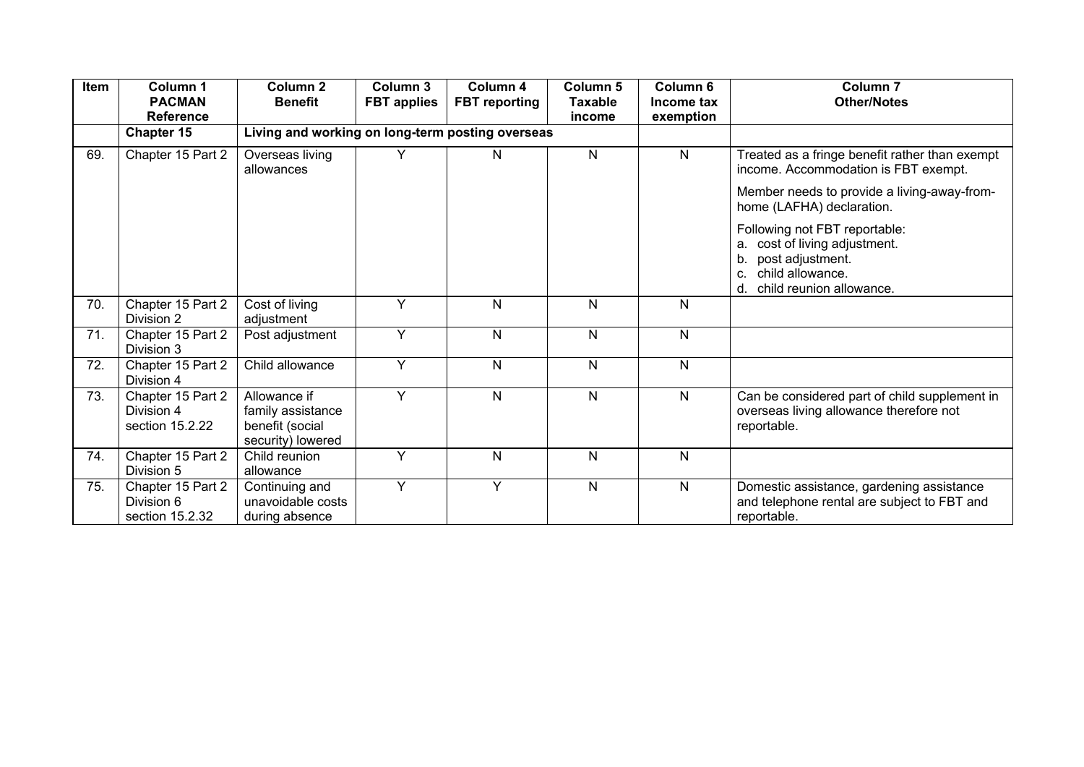| Item | Column 1<br><b>PACMAN</b><br><b>Reference</b>      | Column <sub>2</sub><br><b>Benefit</b>                                     | Column 3<br><b>FBT</b> applies | Column 4<br><b>FBT</b> reporting | <b>Column 5</b><br>Taxable<br>income | Column <sub>6</sub><br>Income tax<br>exemption | Column <sub>7</sub><br><b>Other/Notes</b>                                                                                                               |
|------|----------------------------------------------------|---------------------------------------------------------------------------|--------------------------------|----------------------------------|--------------------------------------|------------------------------------------------|---------------------------------------------------------------------------------------------------------------------------------------------------------|
|      | Chapter 15                                         | Living and working on long-term posting overseas                          |                                |                                  |                                      |                                                |                                                                                                                                                         |
| 69.  | Chapter 15 Part 2                                  | Overseas living<br>allowances                                             | Υ                              | N                                | $\mathsf{N}$                         | $\mathsf{N}$                                   | Treated as a fringe benefit rather than exempt<br>income. Accommodation is FBT exempt.                                                                  |
|      |                                                    |                                                                           |                                |                                  |                                      |                                                | Member needs to provide a living-away-from-<br>home (LAFHA) declaration.                                                                                |
|      |                                                    |                                                                           |                                |                                  |                                      |                                                | Following not FBT reportable:<br>cost of living adjustment.<br>а.<br>post adjustment.<br>b.<br>child allowance.<br>C.<br>child reunion allowance.<br>d. |
| 70.  | Chapter 15 Part 2<br>Division 2                    | Cost of living<br>adjustment                                              | Y                              | $\mathsf{N}$                     | N                                    | $\mathsf{N}$                                   |                                                                                                                                                         |
| 71.  | Chapter 15 Part 2<br>Division 3                    | Post adjustment                                                           | Y                              | $\mathsf{N}$                     | N                                    | $\mathsf{N}$                                   |                                                                                                                                                         |
| 72.  | Chapter 15 Part 2<br>Division 4                    | Child allowance                                                           | Y                              | N                                | N                                    | N                                              |                                                                                                                                                         |
| 73.  | Chapter 15 Part 2<br>Division 4<br>section 15.2.22 | Allowance if<br>family assistance<br>benefit (social<br>security) lowered | Y                              | $\mathsf{N}$                     | $\mathsf{N}$                         | $\mathsf{N}$                                   | Can be considered part of child supplement in<br>overseas living allowance therefore not<br>reportable.                                                 |
| 74.  | Chapter 15 Part 2<br>Division 5                    | Child reunion<br>allowance                                                | Y                              | $\mathsf{N}$                     | $\mathsf{N}$                         | $\mathsf{N}$                                   |                                                                                                                                                         |
| 75.  | Chapter 15 Part 2<br>Division 6<br>section 15.2.32 | Continuing and<br>unavoidable costs<br>during absence                     | Y                              | Y                                | $\mathsf{N}$                         | N                                              | Domestic assistance, gardening assistance<br>and telephone rental are subject to FBT and<br>reportable.                                                 |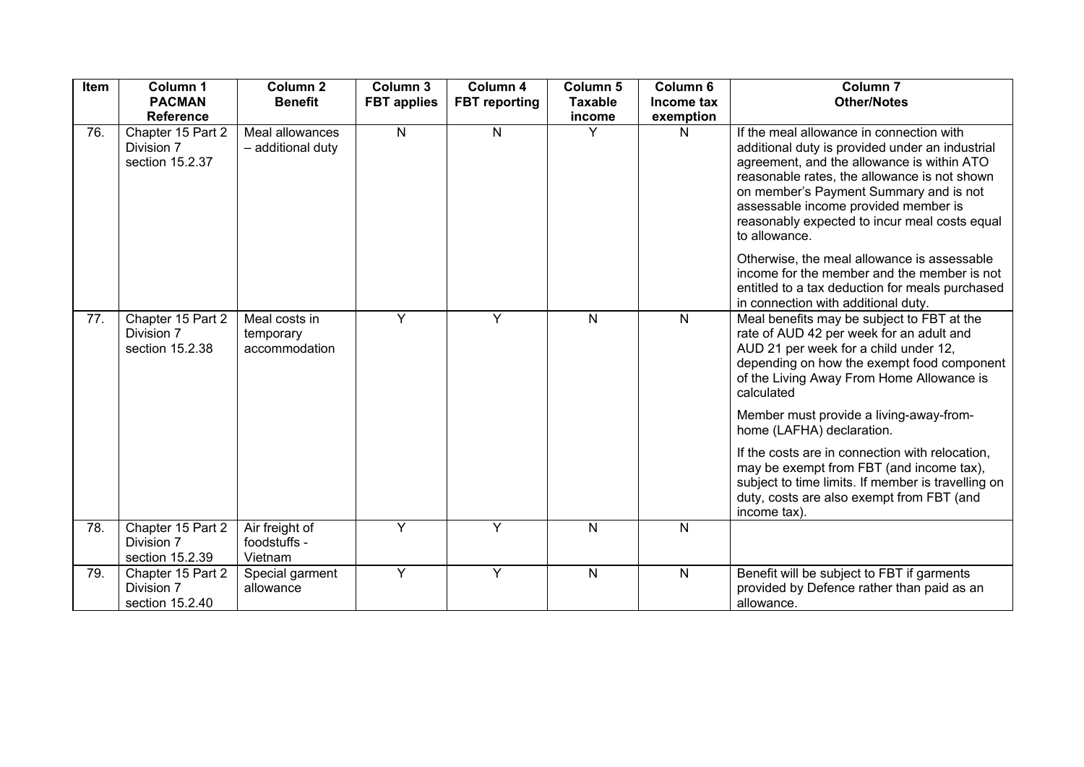| Item | Column 1<br><b>PACMAN</b><br><b>Reference</b>      | Column <sub>2</sub><br><b>Benefit</b>       | Column 3<br><b>FBT</b> applies | Column 4<br><b>FBT</b> reporting | Column 5<br><b>Taxable</b><br>income | Column 6<br>Income tax<br>exemption | Column <sub>7</sub><br><b>Other/Notes</b>                                                                                                                                                                                                                                                                                                     |
|------|----------------------------------------------------|---------------------------------------------|--------------------------------|----------------------------------|--------------------------------------|-------------------------------------|-----------------------------------------------------------------------------------------------------------------------------------------------------------------------------------------------------------------------------------------------------------------------------------------------------------------------------------------------|
| 76.  | Chapter 15 Part 2<br>Division 7<br>section 15.2.37 | Meal allowances<br>- additional duty        | $\mathsf{N}$                   | N                                | Y                                    | $\mathsf{N}$                        | If the meal allowance in connection with<br>additional duty is provided under an industrial<br>agreement, and the allowance is within ATO<br>reasonable rates, the allowance is not shown<br>on member's Payment Summary and is not<br>assessable income provided member is<br>reasonably expected to incur meal costs equal<br>to allowance. |
|      |                                                    |                                             |                                |                                  |                                      |                                     | Otherwise, the meal allowance is assessable<br>income for the member and the member is not<br>entitled to a tax deduction for meals purchased<br>in connection with additional duty.                                                                                                                                                          |
| 77.  | Chapter 15 Part 2<br>Division 7<br>section 15.2.38 | Meal costs in<br>temporary<br>accommodation | Y                              | Y                                | $\mathsf{N}$                         | $\mathsf{N}$                        | Meal benefits may be subject to FBT at the<br>rate of AUD 42 per week for an adult and<br>AUD 21 per week for a child under 12,<br>depending on how the exempt food component<br>of the Living Away From Home Allowance is<br>calculated                                                                                                      |
|      |                                                    |                                             |                                |                                  |                                      |                                     | Member must provide a living-away-from-<br>home (LAFHA) declaration.                                                                                                                                                                                                                                                                          |
|      |                                                    |                                             |                                |                                  |                                      |                                     | If the costs are in connection with relocation,<br>may be exempt from FBT (and income tax),<br>subject to time limits. If member is travelling on<br>duty, costs are also exempt from FBT (and<br>income tax).                                                                                                                                |
| 78.  | Chapter 15 Part 2<br>Division 7<br>section 15.2.39 | Air freight of<br>foodstuffs -<br>Vietnam   | Y                              | Y                                | N                                    | $\mathsf{N}$                        |                                                                                                                                                                                                                                                                                                                                               |
| 79.  | Chapter 15 Part 2<br>Division 7<br>section 15.2.40 | Special garment<br>allowance                | Y                              | Y                                | N                                    | $\mathsf{N}$                        | Benefit will be subject to FBT if garments<br>provided by Defence rather than paid as an<br>allowance.                                                                                                                                                                                                                                        |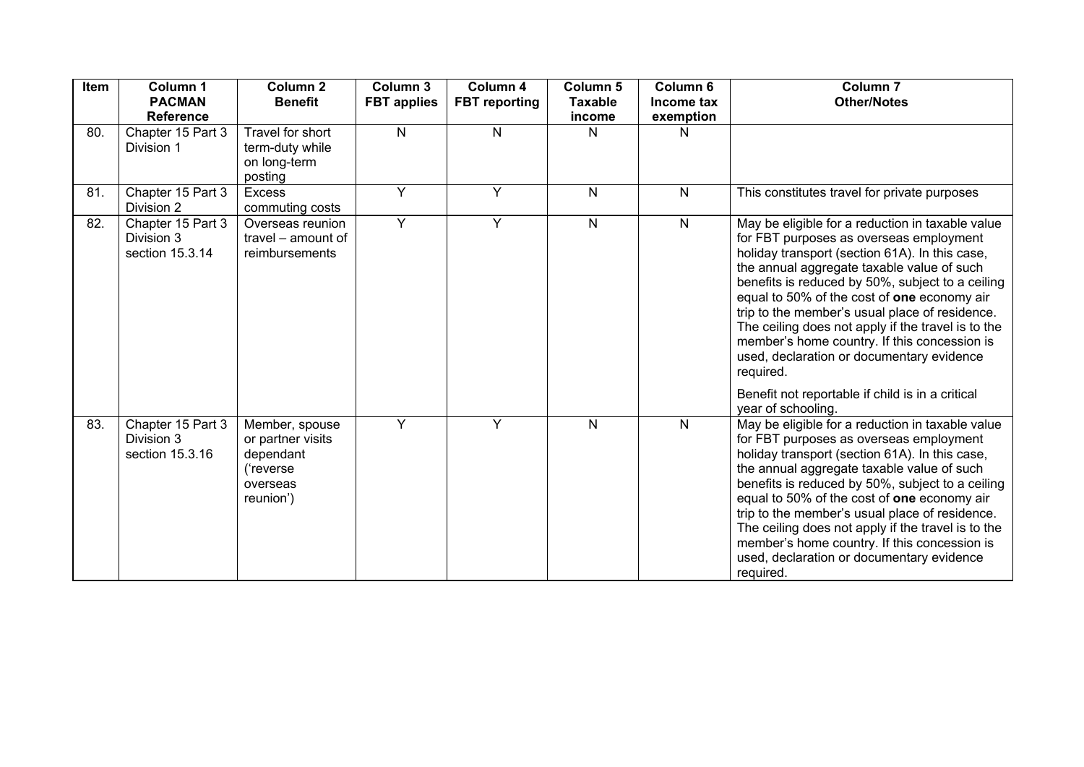| Item | Column 1<br><b>PACMAN</b><br><b>Reference</b>      | <b>Column 2</b><br><b>Benefit</b>                                                      | Column 3<br><b>FBT</b> applies | Column 4<br><b>FBT</b> reporting | Column 5<br><b>Taxable</b><br>income | Column 6<br>Income tax<br>exemption | <b>Column 7</b><br><b>Other/Notes</b>                                                                                                                                                                                                                                                                                                                                                                                                                                                                                                                                                      |
|------|----------------------------------------------------|----------------------------------------------------------------------------------------|--------------------------------|----------------------------------|--------------------------------------|-------------------------------------|--------------------------------------------------------------------------------------------------------------------------------------------------------------------------------------------------------------------------------------------------------------------------------------------------------------------------------------------------------------------------------------------------------------------------------------------------------------------------------------------------------------------------------------------------------------------------------------------|
| 80.  | Chapter 15 Part 3<br>Division 1                    | Travel for short<br>term-duty while<br>on long-term<br>posting                         | N                              | $\mathsf{N}$                     | N                                    | N                                   |                                                                                                                                                                                                                                                                                                                                                                                                                                                                                                                                                                                            |
| 81.  | Chapter 15 Part 3<br>Division 2                    | <b>Excess</b><br>commuting costs                                                       | Y                              | Y                                | $\mathsf{N}$                         | $\mathsf{N}$                        | This constitutes travel for private purposes                                                                                                                                                                                                                                                                                                                                                                                                                                                                                                                                               |
| 82.  | Chapter 15 Part 3<br>Division 3<br>section 15.3.14 | Overseas reunion<br>travel - amount of<br>reimbursements                               | Y                              | Y                                | N                                    | $\mathsf{N}$                        | May be eligible for a reduction in taxable value<br>for FBT purposes as overseas employment<br>holiday transport (section 61A). In this case,<br>the annual aggregate taxable value of such<br>benefits is reduced by 50%, subject to a ceiling<br>equal to 50% of the cost of one economy air<br>trip to the member's usual place of residence.<br>The ceiling does not apply if the travel is to the<br>member's home country. If this concession is<br>used, declaration or documentary evidence<br>required.<br>Benefit not reportable if child is in a critical<br>year of schooling. |
| 83.  | Chapter 15 Part 3<br>Division 3<br>section 15.3.16 | Member, spouse<br>or partner visits<br>dependant<br>('reverse<br>overseas<br>reunion') | Y                              | Y                                | N                                    | $\mathsf{N}$                        | May be eligible for a reduction in taxable value<br>for FBT purposes as overseas employment<br>holiday transport (section 61A). In this case,<br>the annual aggregate taxable value of such<br>benefits is reduced by 50%, subject to a ceiling<br>equal to 50% of the cost of one economy air<br>trip to the member's usual place of residence.<br>The ceiling does not apply if the travel is to the<br>member's home country. If this concession is<br>used, declaration or documentary evidence<br>required.                                                                           |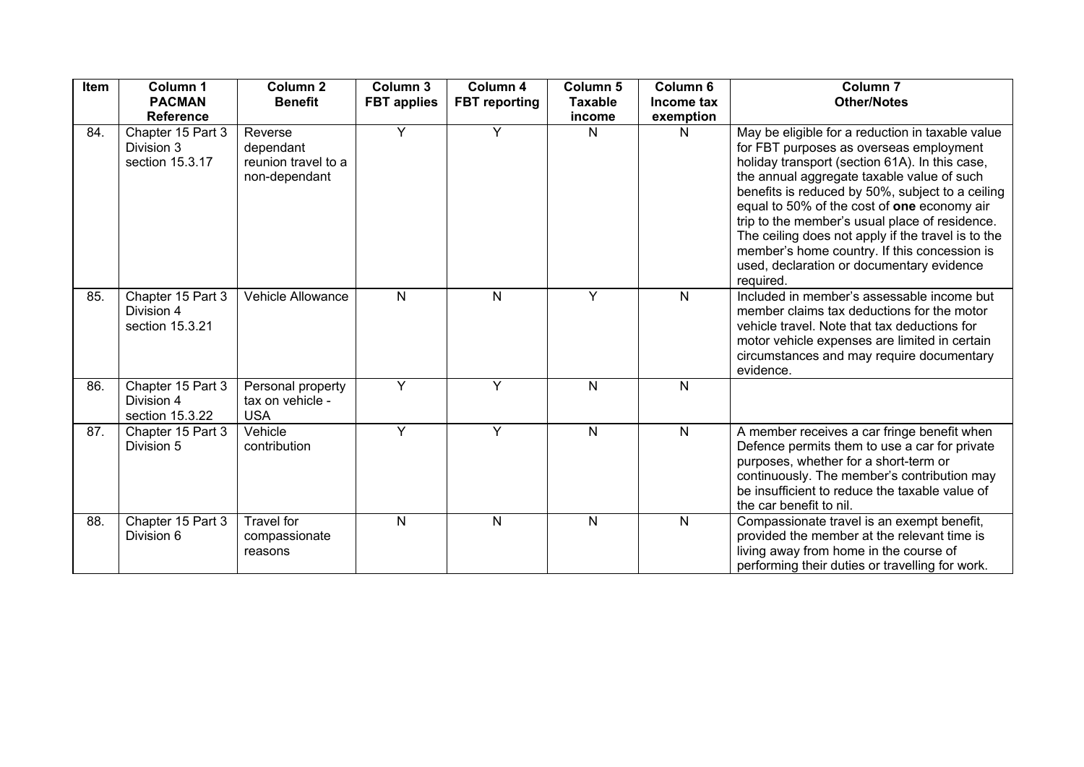| Item | Column 1<br><b>PACMAN</b><br><b>Reference</b>      | Column <sub>2</sub><br><b>Benefit</b>                        | Column 3<br><b>FBT</b> applies | Column 4<br><b>FBT</b> reporting | Column <sub>5</sub><br><b>Taxable</b><br>income | Column <sub>6</sub><br>Income tax<br>exemption | Column <sub>7</sub><br><b>Other/Notes</b>                                                                                                                                                                                                                                                                                                                                                                                                                                                                        |
|------|----------------------------------------------------|--------------------------------------------------------------|--------------------------------|----------------------------------|-------------------------------------------------|------------------------------------------------|------------------------------------------------------------------------------------------------------------------------------------------------------------------------------------------------------------------------------------------------------------------------------------------------------------------------------------------------------------------------------------------------------------------------------------------------------------------------------------------------------------------|
| 84.  | Chapter 15 Part 3<br>Division 3<br>section 15.3.17 | Reverse<br>dependant<br>reunion travel to a<br>non-dependant | Y                              | Y                                | N                                               | N                                              | May be eligible for a reduction in taxable value<br>for FBT purposes as overseas employment<br>holiday transport (section 61A). In this case,<br>the annual aggregate taxable value of such<br>benefits is reduced by 50%, subject to a ceiling<br>equal to 50% of the cost of one economy air<br>trip to the member's usual place of residence.<br>The ceiling does not apply if the travel is to the<br>member's home country. If this concession is<br>used, declaration or documentary evidence<br>required. |
| 85.  | Chapter 15 Part 3<br>Division 4<br>section 15.3.21 | Vehicle Allowance                                            | $\mathsf{N}$                   | $\mathsf{N}$                     | Y                                               | $\mathsf{N}$                                   | Included in member's assessable income but<br>member claims tax deductions for the motor<br>vehicle travel. Note that tax deductions for<br>motor vehicle expenses are limited in certain<br>circumstances and may require documentary<br>evidence.                                                                                                                                                                                                                                                              |
| 86.  | Chapter 15 Part 3<br>Division 4<br>section 15.3.22 | Personal property<br>tax on vehicle -<br><b>USA</b>          | Y                              | Y                                | N                                               | N                                              |                                                                                                                                                                                                                                                                                                                                                                                                                                                                                                                  |
| 87.  | Chapter 15 Part 3<br>Division 5                    | Vehicle<br>contribution                                      | Y                              | Y                                | $\mathsf{N}$                                    | $\mathsf{N}$                                   | A member receives a car fringe benefit when<br>Defence permits them to use a car for private<br>purposes, whether for a short-term or<br>continuously. The member's contribution may<br>be insufficient to reduce the taxable value of<br>the car benefit to nil.                                                                                                                                                                                                                                                |
| 88.  | Chapter 15 Part 3<br>Division 6                    | Travel for<br>compassionate<br>reasons                       | N                              | $\mathsf{N}$                     | $\mathsf{N}$                                    | $\mathsf{N}$                                   | Compassionate travel is an exempt benefit,<br>provided the member at the relevant time is<br>living away from home in the course of<br>performing their duties or travelling for work.                                                                                                                                                                                                                                                                                                                           |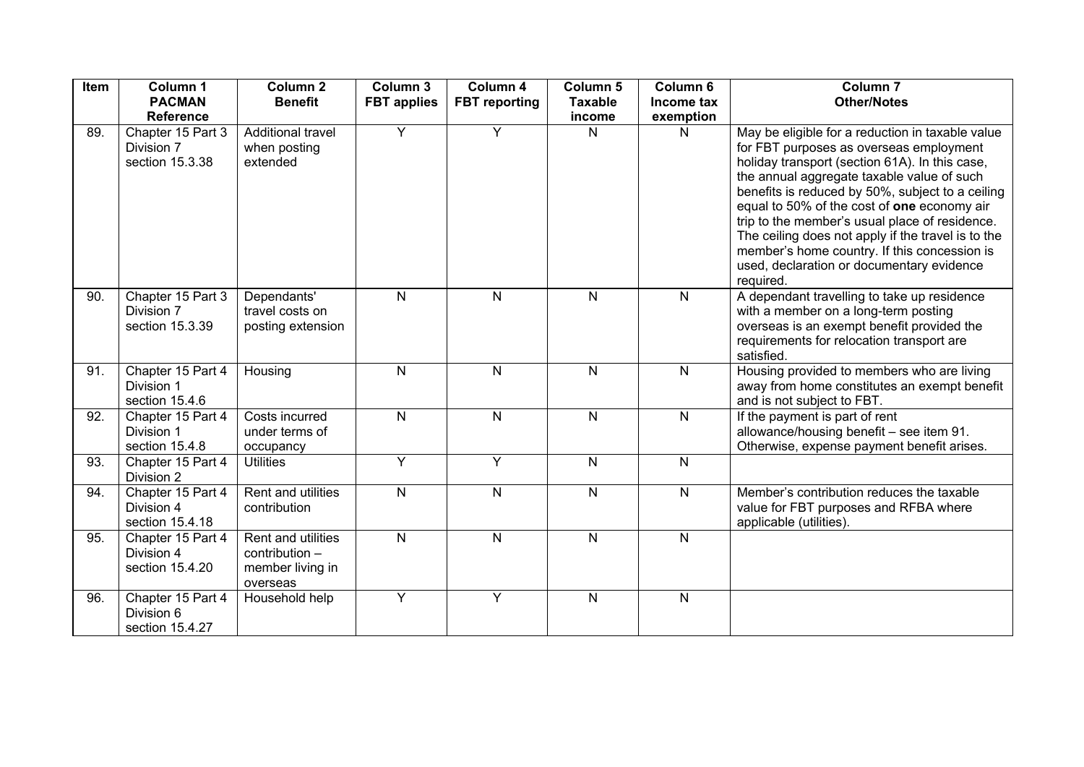| Item | Column 1                                                               | Column <sub>2</sub>                                                           | Column 3           | Column 4             | Column <sub>5</sub> | Column 6       | Column <sub>7</sub>                                                                                                                                                                                                                                                                                                                                             |
|------|------------------------------------------------------------------------|-------------------------------------------------------------------------------|--------------------|----------------------|---------------------|----------------|-----------------------------------------------------------------------------------------------------------------------------------------------------------------------------------------------------------------------------------------------------------------------------------------------------------------------------------------------------------------|
|      | <b>PACMAN</b>                                                          | <b>Benefit</b>                                                                | <b>FBT</b> applies | <b>FBT</b> reporting | <b>Taxable</b>      | Income tax     | <b>Other/Notes</b>                                                                                                                                                                                                                                                                                                                                              |
| 89.  | <b>Reference</b><br>Chapter 15 Part 3<br>Division 7<br>section 15.3.38 | Additional travel<br>when posting<br>extended                                 | Y                  | Y                    | income<br>N         | exemption<br>N | May be eligible for a reduction in taxable value<br>for FBT purposes as overseas employment<br>holiday transport (section 61A). In this case,                                                                                                                                                                                                                   |
|      |                                                                        |                                                                               |                    |                      |                     |                | the annual aggregate taxable value of such<br>benefits is reduced by 50%, subject to a ceiling<br>equal to 50% of the cost of one economy air<br>trip to the member's usual place of residence.<br>The ceiling does not apply if the travel is to the<br>member's home country. If this concession is<br>used, declaration or documentary evidence<br>required. |
| 90.  | Chapter 15 Part 3<br>Division 7<br>section 15.3.39                     | Dependants'<br>travel costs on<br>posting extension                           | N                  | $\mathsf{N}$         | $\mathsf{N}$        | $\mathsf{N}$   | A dependant travelling to take up residence<br>with a member on a long-term posting<br>overseas is an exempt benefit provided the<br>requirements for relocation transport are<br>satisfied.                                                                                                                                                                    |
| 91.  | Chapter 15 Part 4<br>Division 1<br>section 15.4.6                      | Housing                                                                       | N                  | $\mathsf{N}$         | N                   | $\mathsf{N}$   | Housing provided to members who are living<br>away from home constitutes an exempt benefit<br>and is not subject to FBT.                                                                                                                                                                                                                                        |
| 92.  | Chapter 15 Part 4<br>Division 1<br>section 15.4.8                      | Costs incurred<br>under terms of<br>occupancy                                 | $\mathsf{N}$       | N                    | $\mathsf{N}$        | N              | If the payment is part of rent<br>allowance/housing benefit - see item 91.<br>Otherwise, expense payment benefit arises.                                                                                                                                                                                                                                        |
| 93.  | Chapter 15 Part 4<br>Division 2                                        | <b>Utilities</b>                                                              | Y                  | $\overline{Y}$       | N                   | $\mathsf{N}$   |                                                                                                                                                                                                                                                                                                                                                                 |
| 94.  | Chapter 15 Part 4<br>Division 4<br>section 15.4.18                     | Rent and utilities<br>contribution                                            | ${\sf N}$          | $\overline{N}$       | N                   | ${\sf N}$      | Member's contribution reduces the taxable<br>value for FBT purposes and RFBA where<br>applicable (utilities).                                                                                                                                                                                                                                                   |
| 95.  | Chapter 15 Part 4<br>Division 4<br>section 15.4.20                     | <b>Rent and utilities</b><br>$contribution -$<br>member living in<br>overseas | N                  | N                    | N                   | $\mathsf{N}$   |                                                                                                                                                                                                                                                                                                                                                                 |
| 96.  | Chapter 15 Part 4<br>Division 6<br>section 15.4.27                     | Household help                                                                | Y                  | Y                    | N                   | N              |                                                                                                                                                                                                                                                                                                                                                                 |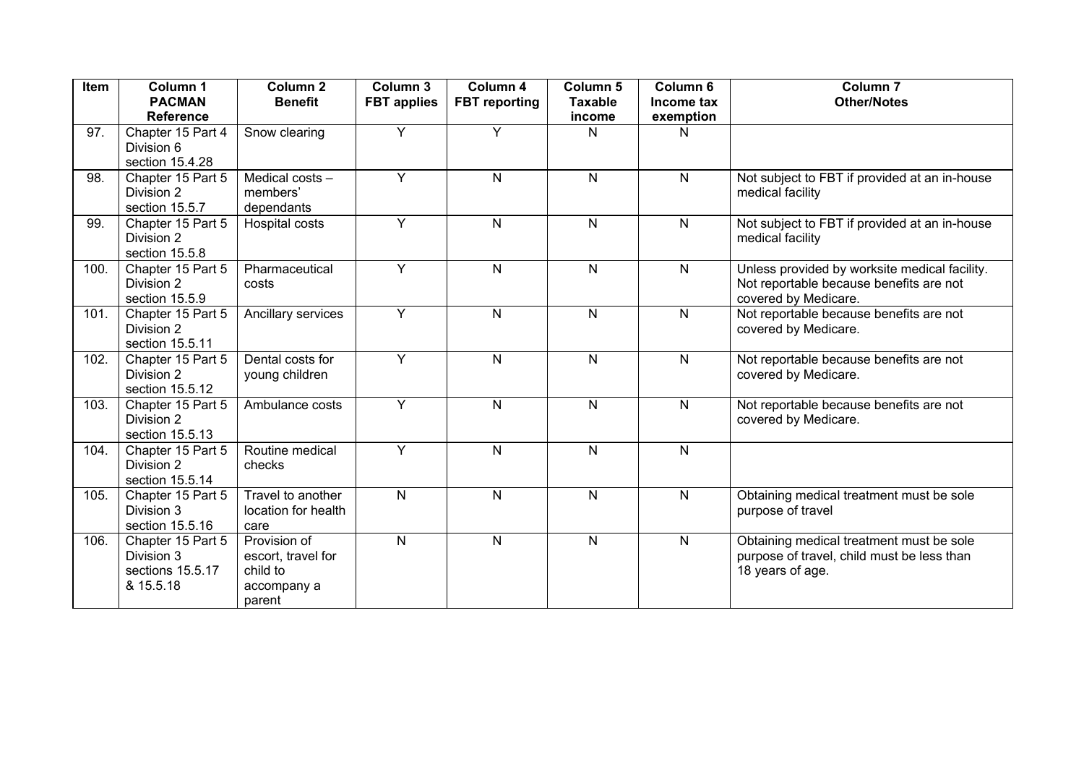| Item | Column 1<br><b>PACMAN</b><br><b>Reference</b>                    | Column <sub>2</sub><br><b>Benefit</b>                                   | Column 3<br><b>FBT</b> applies | Column 4<br><b>FBT</b> reporting | Column 5<br><b>Taxable</b><br>income | Column 6<br>Income tax<br>exemption | Column <sub>7</sub><br><b>Other/Notes</b>                                                                        |
|------|------------------------------------------------------------------|-------------------------------------------------------------------------|--------------------------------|----------------------------------|--------------------------------------|-------------------------------------|------------------------------------------------------------------------------------------------------------------|
| 97.  | Chapter 15 Part 4<br>Division 6<br>section 15.4.28               | Snow clearing                                                           | Y                              | Y                                | N                                    | N                                   |                                                                                                                  |
| 98.  | Chapter 15 Part 5<br>Division 2<br>section 15.5.7                | Medical costs -<br>members'<br>dependants                               | Y                              | $\mathsf{N}$                     | $\mathsf{N}$                         | N                                   | Not subject to FBT if provided at an in-house<br>medical facility                                                |
| 99.  | Chapter 15 Part 5<br>Division 2<br>section 15.5.8                | Hospital costs                                                          | Y                              | $\mathsf{N}$                     | N.                                   | $\mathsf{N}$                        | Not subject to FBT if provided at an in-house<br>medical facility                                                |
| 100. | Chapter 15 Part 5<br>Division 2<br>section 15.5.9                | Pharmaceutical<br>costs                                                 | Y                              | ${\sf N}$                        | $\mathsf{N}$                         | N                                   | Unless provided by worksite medical facility.<br>Not reportable because benefits are not<br>covered by Medicare. |
| 101. | Chapter 15 Part 5<br>Division 2<br>section 15.5.11               | Ancillary services                                                      | Y                              | N                                | N                                    | $\mathsf{N}$                        | Not reportable because benefits are not<br>covered by Medicare.                                                  |
| 102. | Chapter 15 Part 5<br>Division 2<br>section 15.5.12               | Dental costs for<br>young children                                      | Y                              | ${\sf N}$                        | $\mathsf{N}$                         | N                                   | Not reportable because benefits are not<br>covered by Medicare.                                                  |
| 103. | Chapter 15 Part 5<br>Division 2<br>section 15.5.13               | Ambulance costs                                                         | Y                              | $\mathsf{N}$                     | $\mathsf{N}$                         | N                                   | Not reportable because benefits are not<br>covered by Medicare.                                                  |
| 104. | Chapter 15 Part 5<br>Division 2<br>section 15.5.14               | Routine medical<br>checks                                               | Y                              | N                                | $\mathsf{N}$                         | N                                   |                                                                                                                  |
| 105. | Chapter 15 Part 5<br>Division 3<br>section 15.5.16               | Travel to another<br>location for health<br>care                        | $\overline{N}$                 | $\mathsf{N}$                     | $\mathsf{N}$                         | N                                   | Obtaining medical treatment must be sole<br>purpose of travel                                                    |
| 106. | Chapter 15 Part 5<br>Division 3<br>sections 15.5.17<br>& 15.5.18 | Provision of<br>escort, travel for<br>child to<br>accompany a<br>parent | ${\sf N}$                      | ${\sf N}$                        | $\mathsf{N}$                         | ${\sf N}$                           | Obtaining medical treatment must be sole<br>purpose of travel, child must be less than<br>18 years of age.       |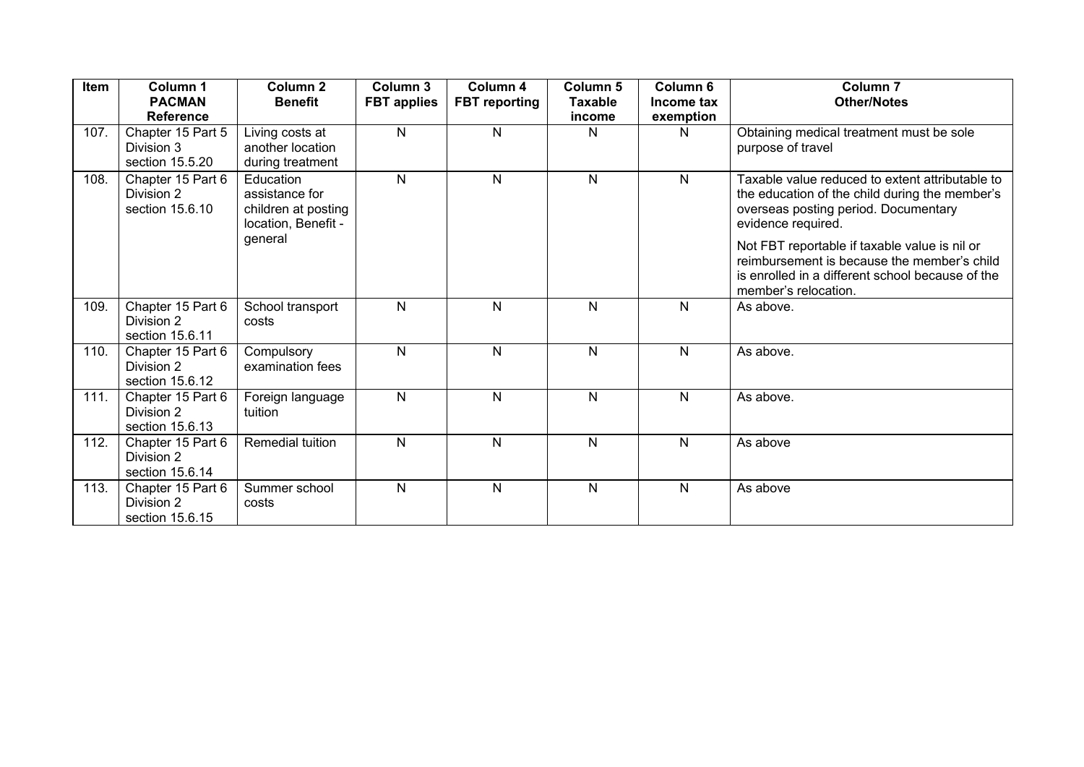| Item | Column 1<br><b>PACMAN</b><br><b>Reference</b>      | Column <sub>2</sub><br><b>Benefit</b>                                     | Column 3<br><b>FBT</b> applies | Column 4<br><b>FBT</b> reporting | Column <sub>5</sub><br><b>Taxable</b><br>income | Column <sub>6</sub><br>Income tax<br>exemption | <b>Column 7</b><br><b>Other/Notes</b>                                                                                                                                    |
|------|----------------------------------------------------|---------------------------------------------------------------------------|--------------------------------|----------------------------------|-------------------------------------------------|------------------------------------------------|--------------------------------------------------------------------------------------------------------------------------------------------------------------------------|
| 107. | Chapter 15 Part 5<br>Division 3<br>section 15.5.20 | Living costs at<br>another location<br>during treatment                   | $\mathsf{N}$                   | N                                | N                                               | N.                                             | Obtaining medical treatment must be sole<br>purpose of travel                                                                                                            |
| 108. | Chapter 15 Part 6<br>Division 2<br>section 15.6.10 | Education<br>assistance for<br>children at posting<br>location, Benefit - | $\mathsf{N}$                   | $\mathsf{N}$                     | $\mathsf{N}$                                    | N.                                             | Taxable value reduced to extent attributable to<br>the education of the child during the member's<br>overseas posting period. Documentary<br>evidence required.          |
|      |                                                    | general                                                                   |                                |                                  |                                                 |                                                | Not FBT reportable if taxable value is nil or<br>reimbursement is because the member's child<br>is enrolled in a different school because of the<br>member's relocation. |
| 109. | Chapter 15 Part 6<br>Division 2<br>section 15.6.11 | School transport<br>costs                                                 | $\mathsf{N}$                   | N                                | $\mathsf{N}$                                    | N                                              | As above.                                                                                                                                                                |
| 110. | Chapter 15 Part 6<br>Division 2<br>section 15.6.12 | Compulsory<br>examination fees                                            | N.                             | N                                | $\mathsf{N}$                                    | N                                              | As above.                                                                                                                                                                |
| 111. | Chapter 15 Part 6<br>Division 2<br>section 15.6.13 | Foreign language<br>tuition                                               | $\mathsf{N}$                   | $\mathsf{N}$                     | $\mathsf{N}$                                    | N                                              | As above.                                                                                                                                                                |
| 112. | Chapter 15 Part 6<br>Division 2<br>section 15.6.14 | Remedial tuition                                                          | N.                             | $\mathsf{N}$                     | N                                               | N                                              | As above                                                                                                                                                                 |
| 113. | Chapter 15 Part 6<br>Division 2<br>section 15.6.15 | Summer school<br>costs                                                    | $\mathsf{N}$                   | $\mathsf{N}$                     | $\mathsf{N}$                                    | N                                              | As above                                                                                                                                                                 |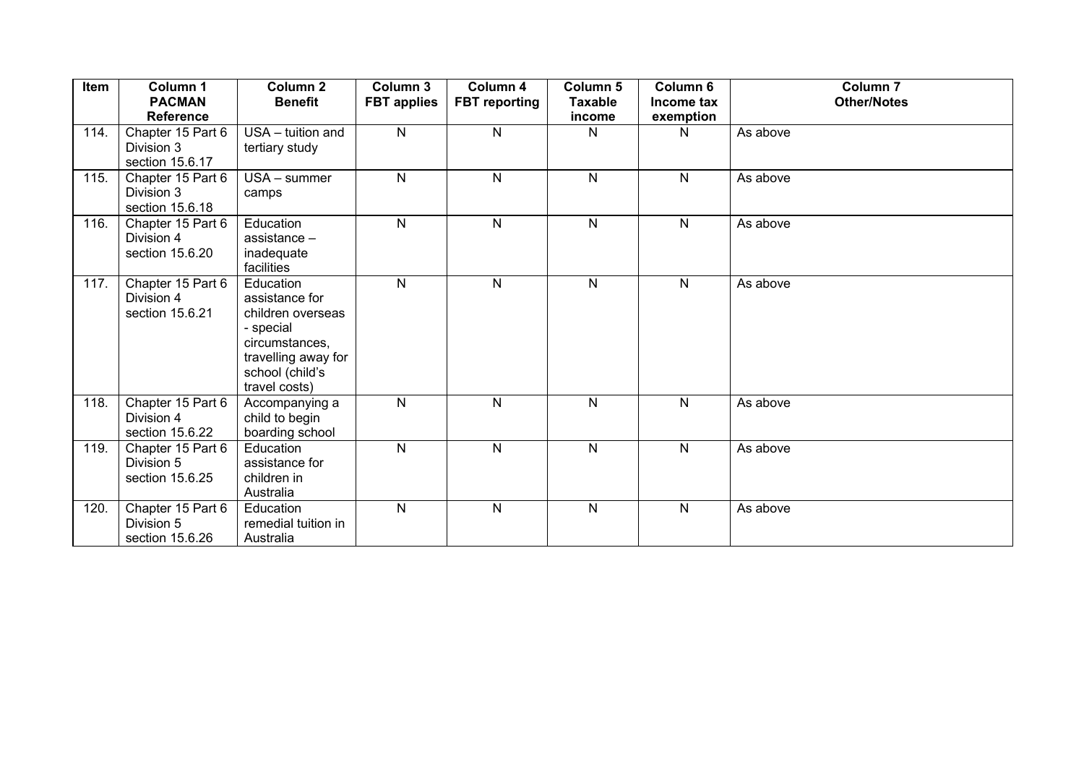| Item | Column 1<br><b>PACMAN</b><br><b>Reference</b>      | <b>Column 2</b><br><b>Benefit</b>                                                                                                          | Column 3<br><b>FBT</b> applies | Column 4<br><b>FBT</b> reporting | Column 5<br><b>Taxable</b><br>income | Column 6<br>Income tax<br>exemption | <b>Column 7</b><br><b>Other/Notes</b> |
|------|----------------------------------------------------|--------------------------------------------------------------------------------------------------------------------------------------------|--------------------------------|----------------------------------|--------------------------------------|-------------------------------------|---------------------------------------|
| 114. | Chapter 15 Part 6<br>Division 3<br>section 15.6.17 | USA - tuition and<br>tertiary study                                                                                                        | $\mathsf{N}$                   | N                                | N                                    | N                                   | As above                              |
| 115. | Chapter 15 Part 6<br>Division 3<br>section 15.6.18 | $USA - summer$<br>camps                                                                                                                    | $\mathsf{N}$                   | $\mathsf{N}$                     | $\mathsf{N}$                         | $\mathsf{N}$                        | As above                              |
| 116. | Chapter 15 Part 6<br>Division 4<br>section 15.6.20 | Education<br>assistance $-$<br>inadequate<br>facilities                                                                                    | $\mathsf{N}$                   | N                                | $\mathsf{N}$                         | $\mathsf{N}$                        | As above                              |
| 117. | Chapter 15 Part 6<br>Division 4<br>section 15.6.21 | Education<br>assistance for<br>children overseas<br>- special<br>circumstances,<br>travelling away for<br>school (child's<br>travel costs) | $\mathsf{N}$                   | $\mathsf{N}$                     | $\mathsf{N}$                         | $\mathsf{N}$                        | As above                              |
| 118. | Chapter 15 Part 6<br>Division 4<br>section 15.6.22 | Accompanying a<br>child to begin<br>boarding school                                                                                        | $\overline{N}$                 | N                                | $\mathsf{N}$                         | $\mathsf{N}$                        | As above                              |
| 119. | Chapter 15 Part 6<br>Division 5<br>section 15.6.25 | Education<br>assistance for<br>children in<br>Australia                                                                                    | $\mathsf{N}$                   | $\mathsf{N}$                     | $\mathsf{N}$                         | N                                   | As above                              |
| 120. | Chapter 15 Part 6<br>Division 5<br>section 15.6.26 | Education<br>remedial tuition in<br>Australia                                                                                              | $\mathsf{N}$                   | N                                | N                                    | N                                   | As above                              |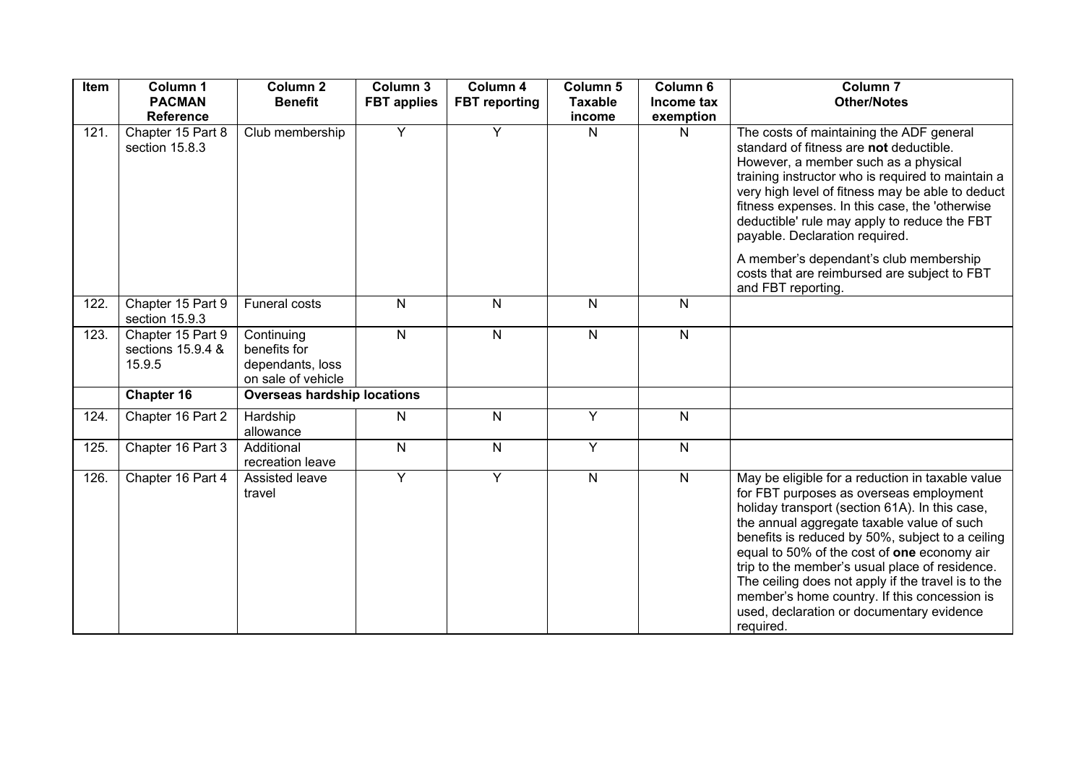| Item | Column 1<br><b>PACMAN</b><br><b>Reference</b>    | Column <sub>2</sub><br><b>Benefit</b>                                | Column 3<br><b>FBT</b> applies | Column 4<br><b>FBT</b> reporting | Column 5<br><b>Taxable</b><br>income | Column 6<br>Income tax<br>exemption | Column <sub>7</sub><br><b>Other/Notes</b>                                                                                                                                                                                                                                                                                                                                                                                                                                                                        |
|------|--------------------------------------------------|----------------------------------------------------------------------|--------------------------------|----------------------------------|--------------------------------------|-------------------------------------|------------------------------------------------------------------------------------------------------------------------------------------------------------------------------------------------------------------------------------------------------------------------------------------------------------------------------------------------------------------------------------------------------------------------------------------------------------------------------------------------------------------|
| 121. | Chapter 15 Part 8<br>section 15.8.3              | Club membership                                                      | $\overline{Y}$                 | $\overline{Y}$                   | N                                    | N                                   | The costs of maintaining the ADF general<br>standard of fitness are not deductible.<br>However, a member such as a physical<br>training instructor who is required to maintain a<br>very high level of fitness may be able to deduct<br>fitness expenses. In this case, the 'otherwise<br>deductible' rule may apply to reduce the FBT<br>payable. Declaration required.                                                                                                                                         |
|      |                                                  |                                                                      |                                |                                  |                                      |                                     | A member's dependant's club membership<br>costs that are reimbursed are subject to FBT<br>and FBT reporting.                                                                                                                                                                                                                                                                                                                                                                                                     |
| 122. | Chapter 15 Part 9<br>section 15.9.3              | <b>Funeral costs</b>                                                 | N                              | N                                | N                                    | $\mathsf{N}$                        |                                                                                                                                                                                                                                                                                                                                                                                                                                                                                                                  |
| 123. | Chapter 15 Part 9<br>sections 15.9.4 &<br>15.9.5 | Continuing<br>benefits for<br>dependants, loss<br>on sale of vehicle | $\mathsf{N}$                   | N                                | N                                    | $\overline{N}$                      |                                                                                                                                                                                                                                                                                                                                                                                                                                                                                                                  |
|      | Chapter 16                                       | <b>Overseas hardship locations</b>                                   |                                |                                  |                                      |                                     |                                                                                                                                                                                                                                                                                                                                                                                                                                                                                                                  |
| 124. | Chapter 16 Part 2                                | Hardship<br>allowance                                                | ${\sf N}$                      | N                                | Y                                    | $\mathsf{N}$                        |                                                                                                                                                                                                                                                                                                                                                                                                                                                                                                                  |
| 125. | Chapter 16 Part 3                                | Additional<br>recreation leave                                       | ${\sf N}$                      | N                                | Y                                    | $\overline{\mathsf{N}}$             |                                                                                                                                                                                                                                                                                                                                                                                                                                                                                                                  |
| 126. | Chapter 16 Part 4                                | Assisted leave<br>travel                                             | Y                              | $\overline{Y}$                   | $\mathsf{N}$                         | $\mathsf{N}$                        | May be eligible for a reduction in taxable value<br>for FBT purposes as overseas employment<br>holiday transport (section 61A). In this case,<br>the annual aggregate taxable value of such<br>benefits is reduced by 50%, subject to a ceiling<br>equal to 50% of the cost of one economy air<br>trip to the member's usual place of residence.<br>The ceiling does not apply if the travel is to the<br>member's home country. If this concession is<br>used, declaration or documentary evidence<br>required. |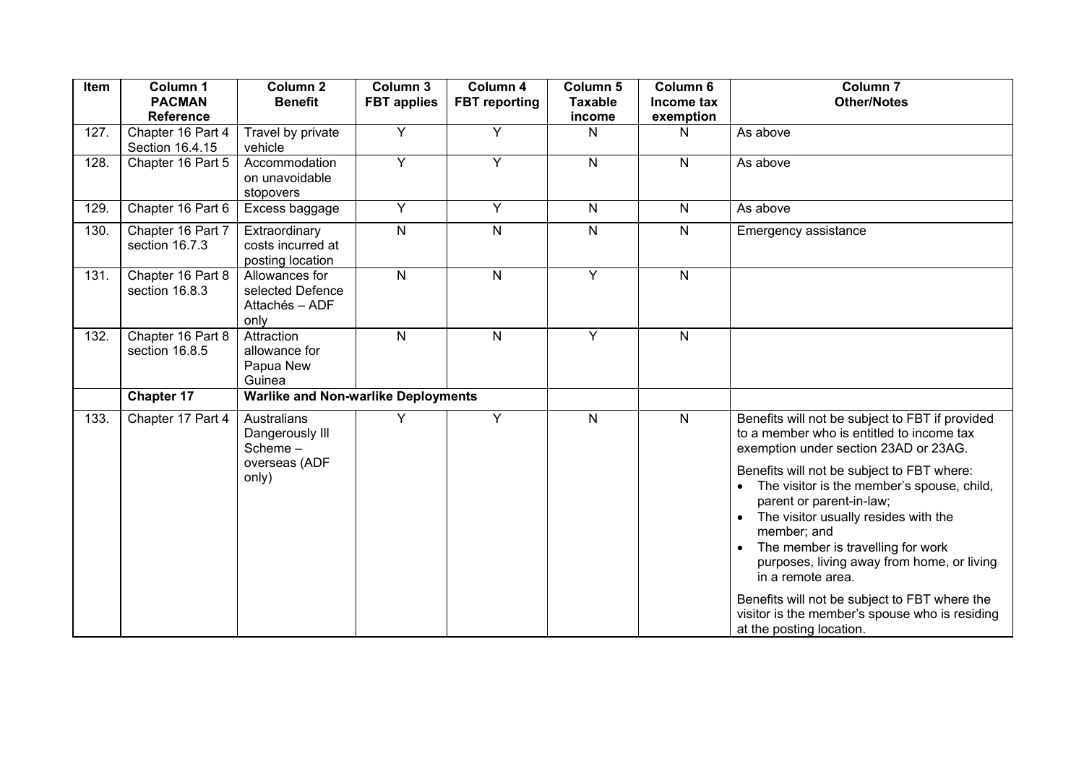| Item | Column <sub>1</sub><br><b>PACMAN</b><br><b>Reference</b> | Column <sub>2</sub><br><b>Benefit</b>                               | Column 3<br><b>FBT</b> applies | Column 4<br><b>FBT</b> reporting | Column <sub>5</sub><br><b>Taxable</b><br>income | Column 6<br>Income tax<br>exemption | Column <sub>7</sub><br><b>Other/Notes</b>                                                                                                                                                                                                                                                                                                                                                                                    |
|------|----------------------------------------------------------|---------------------------------------------------------------------|--------------------------------|----------------------------------|-------------------------------------------------|-------------------------------------|------------------------------------------------------------------------------------------------------------------------------------------------------------------------------------------------------------------------------------------------------------------------------------------------------------------------------------------------------------------------------------------------------------------------------|
| 127. | Chapter 16 Part 4<br>Section 16.4.15                     | Travel by private<br>vehicle                                        | Y                              | Y                                | N                                               | N                                   | As above                                                                                                                                                                                                                                                                                                                                                                                                                     |
| 128. | Chapter 16 Part 5                                        | Accommodation<br>on unavoidable<br>stopovers                        | $\overline{Y}$                 | $\overline{Y}$                   | $\mathsf{N}$                                    | N                                   | As above                                                                                                                                                                                                                                                                                                                                                                                                                     |
| 129. | Chapter 16 Part 6                                        | Excess baggage                                                      | Y                              | $\overline{Y}$                   | N                                               | $\mathsf{N}$                        | As above                                                                                                                                                                                                                                                                                                                                                                                                                     |
| 130. | Chapter 16 Part 7<br>section 16.7.3                      | Extraordinary<br>costs incurred at<br>posting location              | $\overline{\mathsf{N}}$        | $\overline{\mathsf{N}}$          | ${\sf N}$                                       | $\mathsf{N}$                        | Emergency assistance                                                                                                                                                                                                                                                                                                                                                                                                         |
| 131. | Chapter 16 Part 8<br>section 16.8.3                      | Allowances for<br>selected Defence<br>Attachés - ADF<br>only        | $\overline{N}$                 | $\overline{\mathsf{N}}$          | Y                                               | $\mathsf{N}$                        |                                                                                                                                                                                                                                                                                                                                                                                                                              |
| 132. | Chapter 16 Part 8<br>section 16.8.5                      | Attraction<br>allowance for<br>Papua New<br>Guinea                  | $\overline{N}$                 | $\overline{\mathsf{N}}$          | Y                                               | $\mathsf{N}$                        |                                                                                                                                                                                                                                                                                                                                                                                                                              |
|      | <b>Chapter 17</b>                                        | <b>Warlike and Non-warlike Deployments</b>                          |                                |                                  |                                                 |                                     |                                                                                                                                                                                                                                                                                                                                                                                                                              |
| 133. | Chapter 17 Part 4                                        | Australians<br>Dangerously III<br>Scheme-<br>overseas (ADF<br>only) | Y                              | $\overline{Y}$                   | $\mathsf{N}$                                    | $\mathsf{N}$                        | Benefits will not be subject to FBT if provided<br>to a member who is entitled to income tax<br>exemption under section 23AD or 23AG.<br>Benefits will not be subject to FBT where:<br>The visitor is the member's spouse, child,<br>parent or parent-in-law;<br>The visitor usually resides with the<br>member; and<br>The member is travelling for work<br>purposes, living away from home, or living<br>in a remote area. |
|      |                                                          |                                                                     |                                |                                  |                                                 |                                     | Benefits will not be subject to FBT where the<br>visitor is the member's spouse who is residing<br>at the posting location.                                                                                                                                                                                                                                                                                                  |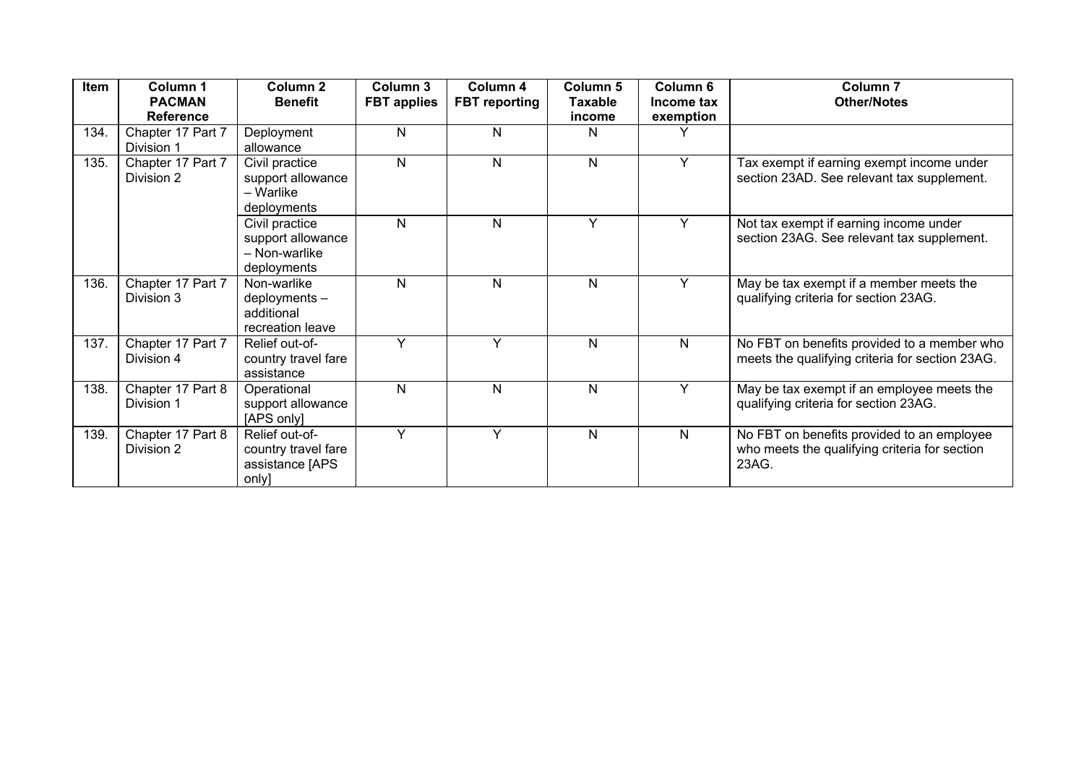| Item | Column 1<br><b>PACMAN</b><br><b>Reference</b> | <b>Column 2</b><br><b>Benefit</b>                                   | Column 3<br><b>FBT</b> applies | Column 4<br><b>FBT</b> reporting | <b>Column 5</b><br><b>Taxable</b><br>income | Column 6<br>Income tax<br>exemption | Column <sub>7</sub><br><b>Other/Notes</b>                                                            |
|------|-----------------------------------------------|---------------------------------------------------------------------|--------------------------------|----------------------------------|---------------------------------------------|-------------------------------------|------------------------------------------------------------------------------------------------------|
| 134. | Chapter 17 Part 7<br>Division 1               | Deployment<br>allowance                                             | ${\sf N}$                      | N                                | N                                           |                                     |                                                                                                      |
| 135. | Chapter 17 Part 7<br>Division 2               | Civil practice<br>support allowance<br>- Warlike<br>deployments     | $\mathsf{N}$                   | $\mathsf{N}$                     | $\mathsf{N}$                                | Y                                   | Tax exempt if earning exempt income under<br>section 23AD. See relevant tax supplement.              |
|      |                                               | Civil practice<br>support allowance<br>- Non-warlike<br>deployments | $\mathsf{N}$                   | N                                | Y                                           | Y                                   | Not tax exempt if earning income under<br>section 23AG. See relevant tax supplement.                 |
| 136. | Chapter 17 Part 7<br>Division 3               | Non-warlike<br>deployments -<br>additional<br>recreation leave      | $\mathsf{N}$                   | N                                | N                                           | Y                                   | May be tax exempt if a member meets the<br>qualifying criteria for section 23AG.                     |
| 137. | Chapter 17 Part 7<br>Division 4               | Relief out-of-<br>country travel fare<br>assistance                 | Y                              | $\checkmark$                     | N                                           | N                                   | No FBT on benefits provided to a member who<br>meets the qualifying criteria for section 23AG.       |
| 138. | Chapter 17 Part 8<br>Division 1               | Operational<br>support allowance<br>[APS only]                      | N                              | $\mathsf{N}$                     | N                                           | Y                                   | May be tax exempt if an employee meets the<br>qualifying criteria for section 23AG.                  |
| 139. | Chapter 17 Part 8<br>Division 2               | Relief out-of-<br>country travel fare<br>assistance [APS]<br>only]  | Y                              | $\checkmark$                     | N                                           | $\mathsf{N}$                        | No FBT on benefits provided to an employee<br>who meets the qualifying criteria for section<br>23AG. |